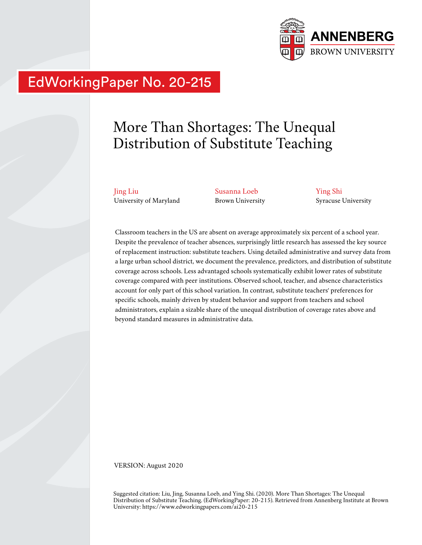

# EdWorkingPaper No. 20-215

# More Than Shortages: The Unequal Distribution of Substitute Teaching

Jing Liu University of Maryland Susanna Loeb Brown University Ying Shi Syracuse University

Classroom teachers in the US are absent on average approximately six percent of a school year. Despite the prevalence of teacher absences, surprisingly little research has assessed the key source of replacement instruction: substitute teachers. Using detailed administrative and survey data from a large urban school district, we document the prevalence, predictors, and distribution of substitute coverage across schools. Less advantaged schools systematically exhibit lower rates of substitute coverage compared with peer institutions. Observed school, teacher, and absence characteristics account for only part of this school variation. In contrast, substitute teachers' preferences for specific schools, mainly driven by student behavior and support from teachers and school administrators, explain a sizable share of the unequal distribution of coverage rates above and beyond standard measures in administrative data.

VERSION: August 2020

Suggested citation: Liu, Jing, Susanna Loeb, and Ying Shi. (2020). More Than Shortages: The Unequal Distribution of Substitute Teaching. (EdWorkingPaper: 20-215). Retrieved from Annenberg Institute at Brown University: https://www.edworkingpapers.com/ai20-215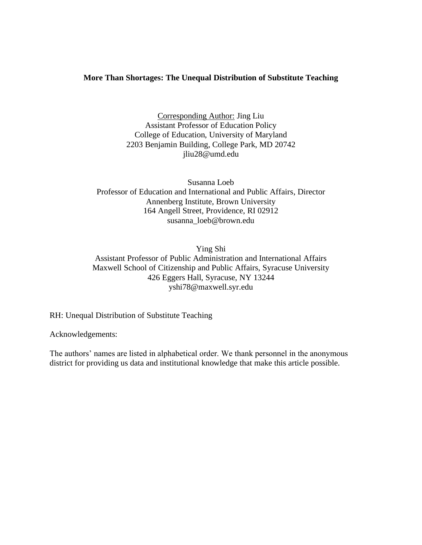# **More Than Shortages: The Unequal Distribution of Substitute Teaching**

Corresponding Author: Jing Liu Assistant Professor of Education Policy College of Education, University of Maryland 2203 Benjamin Building, College Park, MD 20742 jliu28@umd.edu

Susanna Loeb Professor of Education and International and Public Affairs, Director Annenberg Institute, Brown University 164 Angell Street, Providence, RI 02912 susanna\_loeb@brown.edu

Ying Shi

Assistant Professor of Public Administration and International Affairs Maxwell School of Citizenship and Public Affairs, Syracuse University 426 Eggers Hall, Syracuse, NY 13244 yshi78@maxwell.syr.edu

RH: Unequal Distribution of Substitute Teaching

Acknowledgements:

The authors' names are listed in alphabetical order. We thank personnel in the anonymous district for providing us data and institutional knowledge that make this article possible.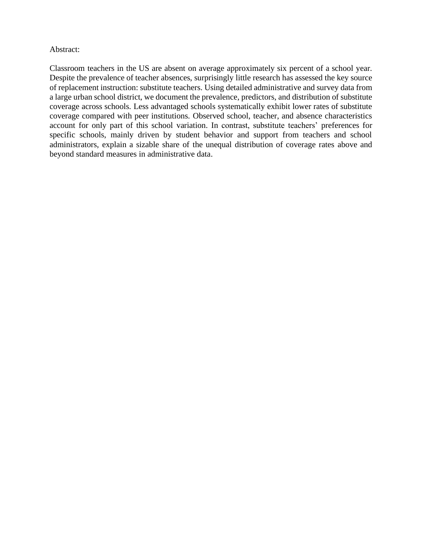# Abstract:

Classroom teachers in the US are absent on average approximately six percent of a school year. Despite the prevalence of teacher absences, surprisingly little research has assessed the key source of replacement instruction: substitute teachers. Using detailed administrative and survey data from a large urban school district, we document the prevalence, predictors, and distribution of substitute coverage across schools. Less advantaged schools systematically exhibit lower rates of substitute coverage compared with peer institutions. Observed school, teacher, and absence characteristics account for only part of this school variation. In contrast, substitute teachers' preferences for specific schools, mainly driven by student behavior and support from teachers and school administrators, explain a sizable share of the unequal distribution of coverage rates above and beyond standard measures in administrative data.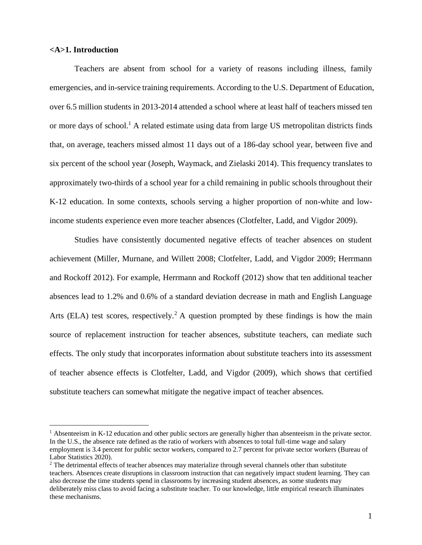#### **<A>1. Introduction**

Teachers are absent from school for a variety of reasons including illness, family emergencies, and in-service training requirements. According to the U.S. Department of Education, over 6.5 million students in 2013-2014 attended a school where at least half of teachers missed ten or more days of school.<sup>1</sup> A related estimate using data from large US metropolitan districts finds that, on average, teachers missed almost 11 days out of a 186-day school year, between five and six percent of the school year (Joseph, Waymack, and Zielaski 2014). This frequency translates to approximately two-thirds of a school year for a child remaining in public schools throughout their K-12 education. In some contexts, schools serving a higher proportion of non-white and lowincome students experience even more teacher absences (Clotfelter, Ladd, and Vigdor 2009).

Studies have consistently documented negative effects of teacher absences on student achievement (Miller, Murnane, and Willett 2008; Clotfelter, Ladd, and Vigdor 2009; Herrmann and Rockoff 2012). For example, Herrmann and Rockoff (2012) show that ten additional teacher absences lead to 1.2% and 0.6% of a standard deviation decrease in math and English Language Arts (ELA) test scores, respectively.<sup>2</sup> A question prompted by these findings is how the main source of replacement instruction for teacher absences, substitute teachers, can mediate such effects. The only study that incorporates information about substitute teachers into its assessment of teacher absence effects is Clotfelter, Ladd, and Vigdor (2009), which shows that certified substitute teachers can somewhat mitigate the negative impact of teacher absences.

<sup>&</sup>lt;sup>1</sup> Absenteeism in K-12 education and other public sectors are generally higher than absenteeism in the private sector. In the U.S., the absence rate defined as the ratio of workers with absences to total full-time wage and salary employment is 3.4 percent for public sector workers, compared to 2.7 percent for private sector workers (Bureau of Labor Statistics 2020).

<sup>&</sup>lt;sup>2</sup> The detrimental effects of teacher absences may materialize through several channels other than substitute teachers. Absences create disruptions in classroom instruction that can negatively impact student learning. They can also decrease the time students spend in classrooms by increasing student absences, as some students may deliberately miss class to avoid facing a substitute teacher. To our knowledge, little empirical research illuminates these mechanisms.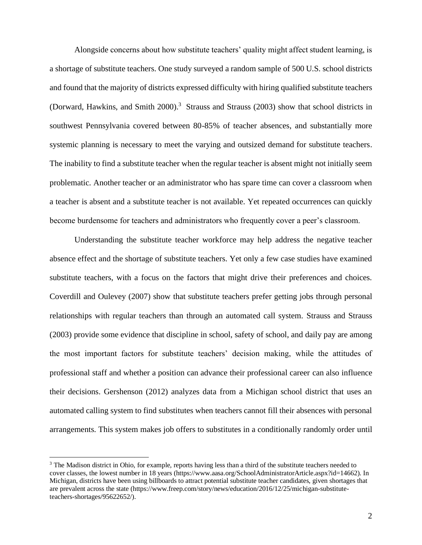Alongside concerns about how substitute teachers' quality might affect student learning, is a shortage of substitute teachers. One study surveyed a random sample of 500 U.S. school districts and found that the majority of districts expressed difficulty with hiring qualified substitute teachers (Dorward, Hawkins, and Smith 2000). <sup>3</sup> Strauss and Strauss (2003) show that school districts in southwest Pennsylvania covered between 80-85% of teacher absences, and substantially more systemic planning is necessary to meet the varying and outsized demand for substitute teachers. The inability to find a substitute teacher when the regular teacher is absent might not initially seem problematic. Another teacher or an administrator who has spare time can cover a classroom when a teacher is absent and a substitute teacher is not available. Yet repeated occurrences can quickly become burdensome for teachers and administrators who frequently cover a peer's classroom.

Understanding the substitute teacher workforce may help address the negative teacher absence effect and the shortage of substitute teachers. Yet only a few case studies have examined substitute teachers, with a focus on the factors that might drive their preferences and choices. Coverdill and Oulevey (2007) show that substitute teachers prefer getting jobs through personal relationships with regular teachers than through an automated call system. Strauss and Strauss (2003) provide some evidence that discipline in school, safety of school, and daily pay are among the most important factors for substitute teachers' decision making, while the attitudes of professional staff and whether a position can advance their professional career can also influence their decisions. Gershenson (2012) analyzes data from a Michigan school district that uses an automated calling system to find substitutes when teachers cannot fill their absences with personal arrangements. This system makes job offers to substitutes in a conditionally randomly order until

<sup>&</sup>lt;sup>3</sup> The Madison district in Ohio, for example, reports having less than a third of the substitute teachers needed to cover classes, the lowest number in 18 years (https://www.aasa.org/SchoolAdministratorArticle.aspx?id=14662). In Michigan, districts have been using billboards to attract potential substitute teacher candidates, given shortages that are prevalent across the state (https://www.freep.com/story/news/education/2016/12/25/michigan-substituteteachers-shortages/95622652/).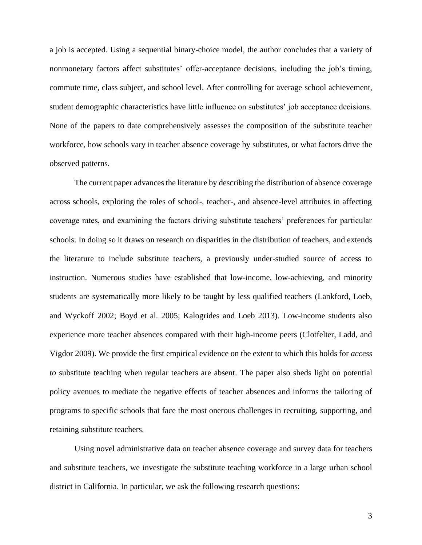a job is accepted. Using a sequential binary-choice model, the author concludes that a variety of nonmonetary factors affect substitutes' offer-acceptance decisions, including the job's timing, commute time, class subject, and school level. After controlling for average school achievement, student demographic characteristics have little influence on substitutes' job acceptance decisions. None of the papers to date comprehensively assesses the composition of the substitute teacher workforce, how schools vary in teacher absence coverage by substitutes, or what factors drive the observed patterns.

The current paper advances the literature by describing the distribution of absence coverage across schools, exploring the roles of school-, teacher-, and absence-level attributes in affecting coverage rates, and examining the factors driving substitute teachers' preferences for particular schools. In doing so it draws on research on disparities in the distribution of teachers, and extends the literature to include substitute teachers, a previously under-studied source of access to instruction. Numerous studies have established that low-income, low-achieving, and minority students are systematically more likely to be taught by less qualified teachers (Lankford, Loeb, and Wyckoff 2002; Boyd et al. 2005; Kalogrides and Loeb 2013). Low-income students also experience more teacher absences compared with their high-income peers (Clotfelter, Ladd, and Vigdor 2009). We provide the first empirical evidence on the extent to which this holds for *access to* substitute teaching when regular teachers are absent. The paper also sheds light on potential policy avenues to mediate the negative effects of teacher absences and informs the tailoring of programs to specific schools that face the most onerous challenges in recruiting, supporting, and retaining substitute teachers.

Using novel administrative data on teacher absence coverage and survey data for teachers and substitute teachers, we investigate the substitute teaching workforce in a large urban school district in California. In particular, we ask the following research questions: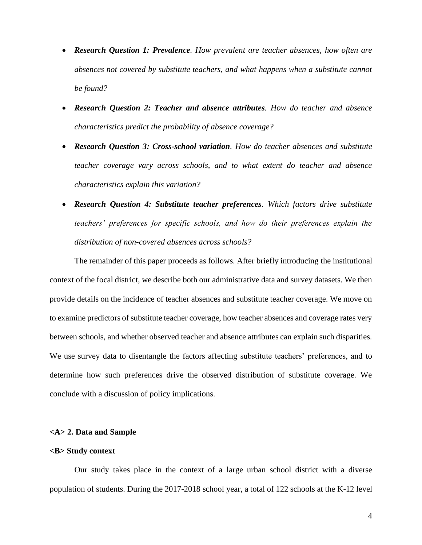- *Research Question 1: Prevalence. How prevalent are teacher absences, how often are absences not covered by substitute teachers, and what happens when a substitute cannot be found?*
- *Research Question 2: Teacher and absence attributes. How do teacher and absence characteristics predict the probability of absence coverage?*
- *Research Question 3: Cross-school variation. How do teacher absences and substitute teacher coverage vary across schools, and to what extent do teacher and absence characteristics explain this variation?*
- *Research Question 4: Substitute teacher preferences. Which factors drive substitute teachers' preferences for specific schools, and how do their preferences explain the distribution of non-covered absences across schools?*

The remainder of this paper proceeds as follows. After briefly introducing the institutional context of the focal district, we describe both our administrative data and survey datasets. We then provide details on the incidence of teacher absences and substitute teacher coverage. We move on to examine predictors of substitute teacher coverage, how teacher absences and coverage rates very between schools, and whether observed teacher and absence attributes can explain such disparities. We use survey data to disentangle the factors affecting substitute teachers' preferences, and to determine how such preferences drive the observed distribution of substitute coverage. We conclude with a discussion of policy implications.

# **<A> 2. Data and Sample**

#### **<B> Study context**

Our study takes place in the context of a large urban school district with a diverse population of students. During the 2017-2018 school year, a total of 122 schools at the K-12 level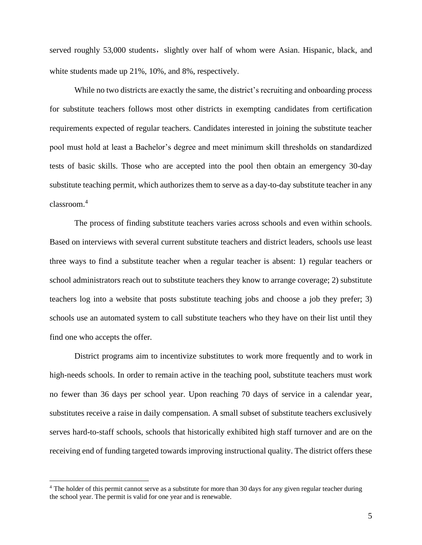served roughly 53,000 students, slightly over half of whom were Asian. Hispanic, black, and white students made up 21%, 10%, and 8%, respectively.

While no two districts are exactly the same, the district's recruiting and onboarding process for substitute teachers follows most other districts in exempting candidates from certification requirements expected of regular teachers. Candidates interested in joining the substitute teacher pool must hold at least a Bachelor's degree and meet minimum skill thresholds on standardized tests of basic skills. Those who are accepted into the pool then obtain an emergency 30-day substitute teaching permit, which authorizes them to serve as a day-to-day substitute teacher in any classroom.<sup>4</sup>

The process of finding substitute teachers varies across schools and even within schools. Based on interviews with several current substitute teachers and district leaders, schools use least three ways to find a substitute teacher when a regular teacher is absent: 1) regular teachers or school administrators reach out to substitute teachers they know to arrange coverage; 2) substitute teachers log into a website that posts substitute teaching jobs and choose a job they prefer; 3) schools use an automated system to call substitute teachers who they have on their list until they find one who accepts the offer.

District programs aim to incentivize substitutes to work more frequently and to work in high-needs schools. In order to remain active in the teaching pool, substitute teachers must work no fewer than 36 days per school year. Upon reaching 70 days of service in a calendar year, substitutes receive a raise in daily compensation. A small subset of substitute teachers exclusively serves hard-to-staff schools, schools that historically exhibited high staff turnover and are on the receiving end of funding targeted towards improving instructional quality. The district offers these

<sup>&</sup>lt;sup>4</sup> The holder of this permit cannot serve as a substitute for more than 30 days for any given regular teacher during the school year. The permit is valid for one year and is renewable.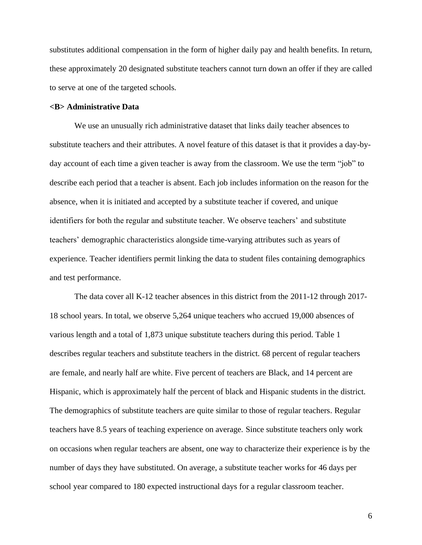substitutes additional compensation in the form of higher daily pay and health benefits. In return, these approximately 20 designated substitute teachers cannot turn down an offer if they are called to serve at one of the targeted schools.

# **<B> Administrative Data**

We use an unusually rich administrative dataset that links daily teacher absences to substitute teachers and their attributes. A novel feature of this dataset is that it provides a day-byday account of each time a given teacher is away from the classroom. We use the term "job" to describe each period that a teacher is absent. Each job includes information on the reason for the absence, when it is initiated and accepted by a substitute teacher if covered, and unique identifiers for both the regular and substitute teacher. We observe teachers' and substitute teachers' demographic characteristics alongside time-varying attributes such as years of experience. Teacher identifiers permit linking the data to student files containing demographics and test performance.

The data cover all K-12 teacher absences in this district from the 2011-12 through 2017- 18 school years. In total, we observe 5,264 unique teachers who accrued 19,000 absences of various length and a total of 1,873 unique substitute teachers during this period. Table 1 describes regular teachers and substitute teachers in the district. 68 percent of regular teachers are female, and nearly half are white. Five percent of teachers are Black, and 14 percent are Hispanic, which is approximately half the percent of black and Hispanic students in the district. The demographics of substitute teachers are quite similar to those of regular teachers. Regular teachers have 8.5 years of teaching experience on average. Since substitute teachers only work on occasions when regular teachers are absent, one way to characterize their experience is by the number of days they have substituted. On average, a substitute teacher works for 46 days per school year compared to 180 expected instructional days for a regular classroom teacher.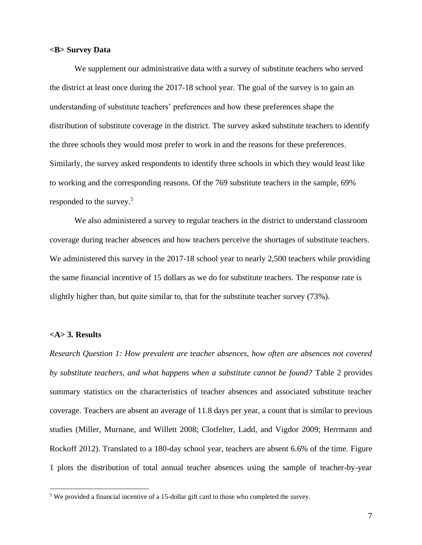#### **<B> Survey Data**

We supplement our administrative data with a survey of substitute teachers who served the district at least once during the 2017-18 school year. The goal of the survey is to gain an understanding of substitute teachers' preferences and how these preferences shape the distribution of substitute coverage in the district. The survey asked substitute teachers to identify the three schools they would most prefer to work in and the reasons for these preferences. Similarly, the survey asked respondents to identify three schools in which they would least like to working and the corresponding reasons. Of the 769 substitute teachers in the sample, 69% responded to the survey.<sup>5</sup>

We also administered a survey to regular teachers in the district to understand classroom coverage during teacher absences and how teachers perceive the shortages of substitute teachers. We administered this survey in the 2017-18 school year to nearly 2,500 teachers while providing the same financial incentive of 15 dollars as we do for substitute teachers. The response rate is slightly higher than, but quite similar to, that for the substitute teacher survey (73%).

#### **<A> 3. Results**

*Research Question 1: How prevalent are teacher absences, how often are absences not covered by substitute teachers, and what happens when a substitute cannot be found?* Table 2 provides summary statistics on the characteristics of teacher absences and associated substitute teacher coverage. Teachers are absent an average of 11.8 days per year, a count that is similar to previous studies (Miller, Murnane, and Willett 2008; Clotfelter, Ladd, and Vigdor 2009; Herrmann and Rockoff 2012). Translated to a 180-day school year, teachers are absent 6.6% of the time. Figure 1 plots the distribution of total annual teacher absences using the sample of teacher-by-year

<sup>&</sup>lt;sup>5</sup> We provided a financial incentive of a 15-dollar gift card to those who completed the survey.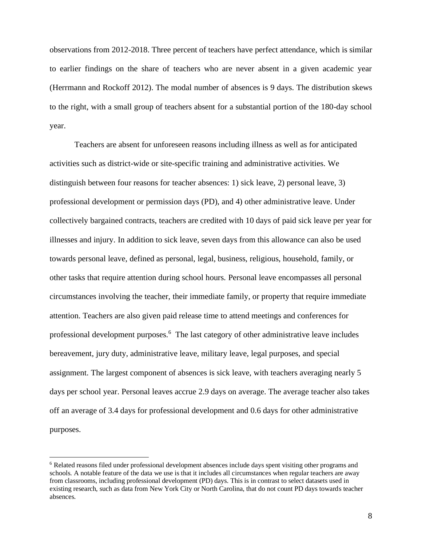observations from 2012-2018. Three percent of teachers have perfect attendance, which is similar to earlier findings on the share of teachers who are never absent in a given academic year (Herrmann and Rockoff 2012). The modal number of absences is 9 days. The distribution skews to the right, with a small group of teachers absent for a substantial portion of the 180-day school year.

Teachers are absent for unforeseen reasons including illness as well as for anticipated activities such as district-wide or site-specific training and administrative activities. We distinguish between four reasons for teacher absences: 1) sick leave, 2) personal leave, 3) professional development or permission days (PD), and 4) other administrative leave. Under collectively bargained contracts, teachers are credited with 10 days of paid sick leave per year for illnesses and injury. In addition to sick leave, seven days from this allowance can also be used towards personal leave, defined as personal, legal, business, religious, household, family, or other tasks that require attention during school hours. Personal leave encompasses all personal circumstances involving the teacher, their immediate family, or property that require immediate attention. Teachers are also given paid release time to attend meetings and conferences for professional development purposes.<sup>6</sup> The last category of other administrative leave includes bereavement, jury duty, administrative leave, military leave, legal purposes, and special assignment. The largest component of absences is sick leave, with teachers averaging nearly 5 days per school year. Personal leaves accrue 2.9 days on average. The average teacher also takes off an average of 3.4 days for professional development and 0.6 days for other administrative purposes.

<sup>6</sup> Related reasons filed under professional development absences include days spent visiting other programs and schools. A notable feature of the data we use is that it includes all circumstances when regular teachers are away from classrooms, including professional development (PD) days. This is in contrast to select datasets used in existing research, such as data from New York City or North Carolina, that do not count PD days towards teacher absences.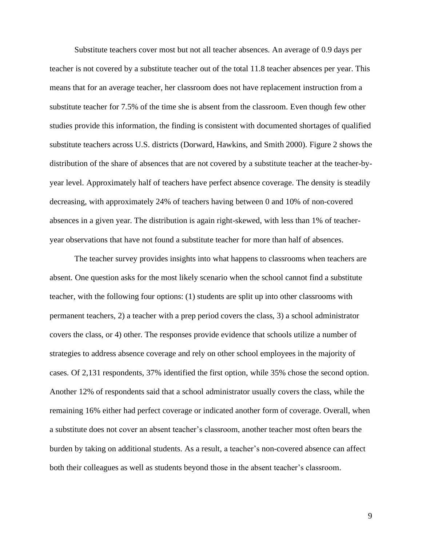Substitute teachers cover most but not all teacher absences. An average of 0.9 days per teacher is not covered by a substitute teacher out of the total 11.8 teacher absences per year. This means that for an average teacher, her classroom does not have replacement instruction from a substitute teacher for 7.5% of the time she is absent from the classroom. Even though few other studies provide this information, the finding is consistent with documented shortages of qualified substitute teachers across U.S. districts (Dorward, Hawkins, and Smith 2000). Figure 2 shows the distribution of the share of absences that are not covered by a substitute teacher at the teacher-byyear level. Approximately half of teachers have perfect absence coverage. The density is steadily decreasing, with approximately 24% of teachers having between 0 and 10% of non-covered absences in a given year. The distribution is again right-skewed, with less than 1% of teacheryear observations that have not found a substitute teacher for more than half of absences.

The teacher survey provides insights into what happens to classrooms when teachers are absent. One question asks for the most likely scenario when the school cannot find a substitute teacher, with the following four options: (1) students are split up into other classrooms with permanent teachers, 2) a teacher with a prep period covers the class, 3) a school administrator covers the class, or 4) other. The responses provide evidence that schools utilize a number of strategies to address absence coverage and rely on other school employees in the majority of cases. Of 2,131 respondents, 37% identified the first option, while 35% chose the second option. Another 12% of respondents said that a school administrator usually covers the class, while the remaining 16% either had perfect coverage or indicated another form of coverage. Overall, when a substitute does not cover an absent teacher's classroom, another teacher most often bears the burden by taking on additional students. As a result, a teacher's non-covered absence can affect both their colleagues as well as students beyond those in the absent teacher's classroom.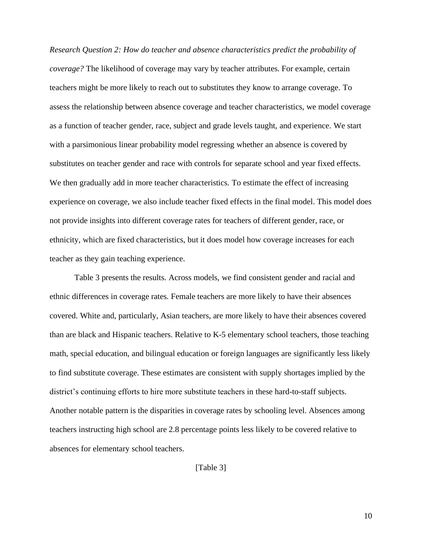*Research Question 2: How do teacher and absence characteristics predict the probability of coverage?* The likelihood of coverage may vary by teacher attributes. For example, certain teachers might be more likely to reach out to substitutes they know to arrange coverage. To assess the relationship between absence coverage and teacher characteristics, we model coverage as a function of teacher gender, race, subject and grade levels taught, and experience. We start with a parsimonious linear probability model regressing whether an absence is covered by substitutes on teacher gender and race with controls for separate school and year fixed effects. We then gradually add in more teacher characteristics. To estimate the effect of increasing experience on coverage, we also include teacher fixed effects in the final model. This model does not provide insights into different coverage rates for teachers of different gender, race, or ethnicity, which are fixed characteristics, but it does model how coverage increases for each teacher as they gain teaching experience.

Table 3 presents the results. Across models, we find consistent gender and racial and ethnic differences in coverage rates. Female teachers are more likely to have their absences covered. White and, particularly, Asian teachers, are more likely to have their absences covered than are black and Hispanic teachers. Relative to K-5 elementary school teachers, those teaching math, special education, and bilingual education or foreign languages are significantly less likely to find substitute coverage. These estimates are consistent with supply shortages implied by the district's continuing efforts to hire more substitute teachers in these hard-to-staff subjects. Another notable pattern is the disparities in coverage rates by schooling level. Absences among teachers instructing high school are 2.8 percentage points less likely to be covered relative to absences for elementary school teachers.

[Table 3]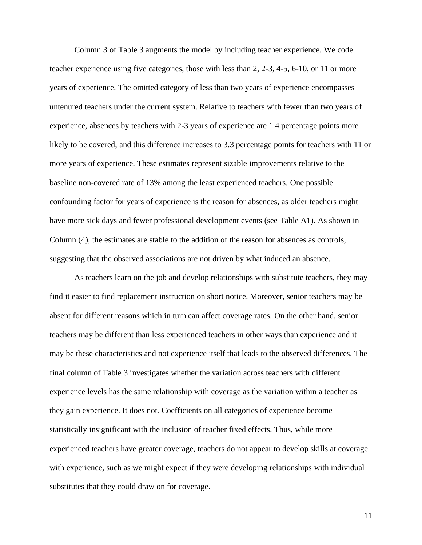Column 3 of Table 3 augments the model by including teacher experience. We code teacher experience using five categories, those with less than 2, 2-3, 4-5, 6-10, or 11 or more years of experience. The omitted category of less than two years of experience encompasses untenured teachers under the current system. Relative to teachers with fewer than two years of experience, absences by teachers with 2-3 years of experience are 1.4 percentage points more likely to be covered, and this difference increases to 3.3 percentage points for teachers with 11 or more years of experience. These estimates represent sizable improvements relative to the baseline non-covered rate of 13% among the least experienced teachers. One possible confounding factor for years of experience is the reason for absences, as older teachers might have more sick days and fewer professional development events (see Table A1). As shown in Column (4), the estimates are stable to the addition of the reason for absences as controls, suggesting that the observed associations are not driven by what induced an absence.

As teachers learn on the job and develop relationships with substitute teachers, they may find it easier to find replacement instruction on short notice. Moreover, senior teachers may be absent for different reasons which in turn can affect coverage rates. On the other hand, senior teachers may be different than less experienced teachers in other ways than experience and it may be these characteristics and not experience itself that leads to the observed differences. The final column of Table 3 investigates whether the variation across teachers with different experience levels has the same relationship with coverage as the variation within a teacher as they gain experience. It does not. Coefficients on all categories of experience become statistically insignificant with the inclusion of teacher fixed effects. Thus, while more experienced teachers have greater coverage, teachers do not appear to develop skills at coverage with experience, such as we might expect if they were developing relationships with individual substitutes that they could draw on for coverage.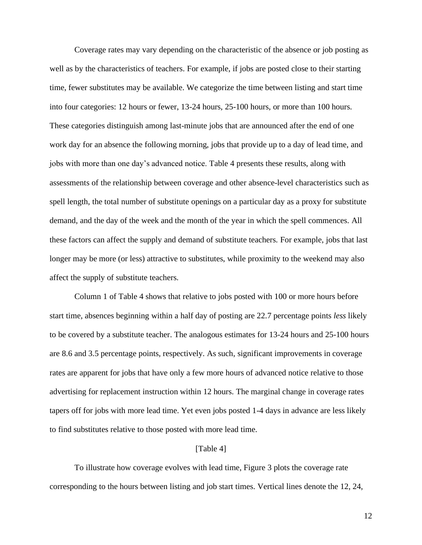Coverage rates may vary depending on the characteristic of the absence or job posting as well as by the characteristics of teachers. For example, if jobs are posted close to their starting time, fewer substitutes may be available. We categorize the time between listing and start time into four categories: 12 hours or fewer, 13-24 hours, 25-100 hours, or more than 100 hours. These categories distinguish among last-minute jobs that are announced after the end of one work day for an absence the following morning, jobs that provide up to a day of lead time, and jobs with more than one day's advanced notice. Table 4 presents these results, along with assessments of the relationship between coverage and other absence-level characteristics such as spell length, the total number of substitute openings on a particular day as a proxy for substitute demand, and the day of the week and the month of the year in which the spell commences. All these factors can affect the supply and demand of substitute teachers. For example, jobs that last longer may be more (or less) attractive to substitutes, while proximity to the weekend may also affect the supply of substitute teachers.

Column 1 of Table 4 shows that relative to jobs posted with 100 or more hours before start time, absences beginning within a half day of posting are 22.7 percentage points *less* likely to be covered by a substitute teacher. The analogous estimates for 13-24 hours and 25-100 hours are 8.6 and 3.5 percentage points, respectively. As such, significant improvements in coverage rates are apparent for jobs that have only a few more hours of advanced notice relative to those advertising for replacement instruction within 12 hours. The marginal change in coverage rates tapers off for jobs with more lead time. Yet even jobs posted 1-4 days in advance are less likely to find substitutes relative to those posted with more lead time.

#### [Table 4]

To illustrate how coverage evolves with lead time, Figure 3 plots the coverage rate corresponding to the hours between listing and job start times. Vertical lines denote the 12, 24,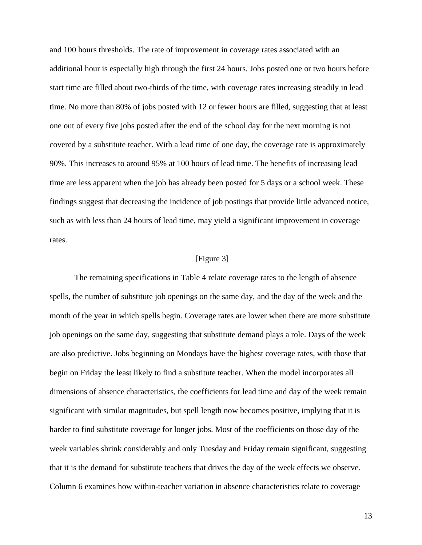and 100 hours thresholds. The rate of improvement in coverage rates associated with an additional hour is especially high through the first 24 hours. Jobs posted one or two hours before start time are filled about two-thirds of the time, with coverage rates increasing steadily in lead time. No more than 80% of jobs posted with 12 or fewer hours are filled, suggesting that at least one out of every five jobs posted after the end of the school day for the next morning is not covered by a substitute teacher. With a lead time of one day, the coverage rate is approximately 90%. This increases to around 95% at 100 hours of lead time. The benefits of increasing lead time are less apparent when the job has already been posted for 5 days or a school week. These findings suggest that decreasing the incidence of job postings that provide little advanced notice, such as with less than 24 hours of lead time, may yield a significant improvement in coverage rates.

## [Figure 3]

The remaining specifications in Table 4 relate coverage rates to the length of absence spells, the number of substitute job openings on the same day, and the day of the week and the month of the year in which spells begin. Coverage rates are lower when there are more substitute job openings on the same day, suggesting that substitute demand plays a role. Days of the week are also predictive. Jobs beginning on Mondays have the highest coverage rates, with those that begin on Friday the least likely to find a substitute teacher. When the model incorporates all dimensions of absence characteristics, the coefficients for lead time and day of the week remain significant with similar magnitudes, but spell length now becomes positive, implying that it is harder to find substitute coverage for longer jobs. Most of the coefficients on those day of the week variables shrink considerably and only Tuesday and Friday remain significant, suggesting that it is the demand for substitute teachers that drives the day of the week effects we observe. Column 6 examines how within-teacher variation in absence characteristics relate to coverage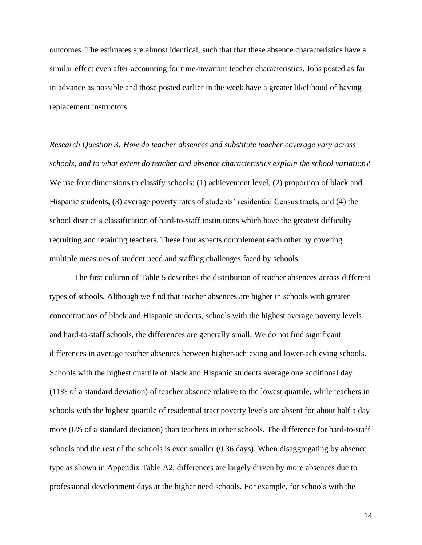outcomes. The estimates are almost identical, such that that these absence characteristics have a similar effect even after accounting for time-invariant teacher characteristics. Jobs posted as far in advance as possible and those posted earlier in the week have a greater likelihood of having replacement instructors.

*Research Question 3: How do teacher absences and substitute teacher coverage vary across schools, and to what extent do teacher and absence characteristics explain the school variation?*  We use four dimensions to classify schools: (1) achievement level, (2) proportion of black and Hispanic students, (3) average poverty rates of students' residential Census tracts, and (4) the school district's classification of hard-to-staff institutions which have the greatest difficulty recruiting and retaining teachers. These four aspects complement each other by covering multiple measures of student need and staffing challenges faced by schools.

The first column of Table 5 describes the distribution of teacher absences across different types of schools. Although we find that teacher absences are higher in schools with greater concentrations of black and Hispanic students, schools with the highest average poverty levels, and hard-to-staff schools, the differences are generally small. We do not find significant differences in average teacher absences between higher-achieving and lower-achieving schools. Schools with the highest quartile of black and Hispanic students average one additional day (11% of a standard deviation) of teacher absence relative to the lowest quartile, while teachers in schools with the highest quartile of residential tract poverty levels are absent for about half a day more (6% of a standard deviation) than teachers in other schools. The difference for hard-to-staff schools and the rest of the schools is even smaller (0.36 days). When disaggregating by absence type as shown in Appendix Table A2, differences are largely driven by more absences due to professional development days at the higher need schools. For example, for schools with the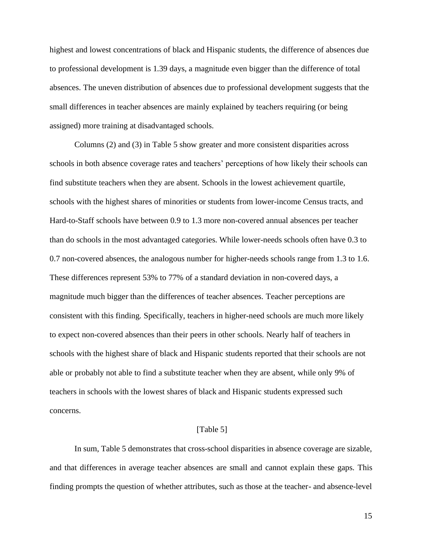highest and lowest concentrations of black and Hispanic students, the difference of absences due to professional development is 1.39 days, a magnitude even bigger than the difference of total absences. The uneven distribution of absences due to professional development suggests that the small differences in teacher absences are mainly explained by teachers requiring (or being assigned) more training at disadvantaged schools.

Columns (2) and (3) in Table 5 show greater and more consistent disparities across schools in both absence coverage rates and teachers' perceptions of how likely their schools can find substitute teachers when they are absent. Schools in the lowest achievement quartile, schools with the highest shares of minorities or students from lower-income Census tracts, and Hard-to-Staff schools have between 0.9 to 1.3 more non-covered annual absences per teacher than do schools in the most advantaged categories. While lower-needs schools often have 0.3 to 0.7 non-covered absences, the analogous number for higher-needs schools range from 1.3 to 1.6. These differences represent 53% to 77% of a standard deviation in non-covered days, a magnitude much bigger than the differences of teacher absences. Teacher perceptions are consistent with this finding. Specifically, teachers in higher-need schools are much more likely to expect non-covered absences than their peers in other schools. Nearly half of teachers in schools with the highest share of black and Hispanic students reported that their schools are not able or probably not able to find a substitute teacher when they are absent, while only 9% of teachers in schools with the lowest shares of black and Hispanic students expressed such concerns.

# [Table 5]

In sum, Table 5 demonstrates that cross-school disparities in absence coverage are sizable, and that differences in average teacher absences are small and cannot explain these gaps. This finding prompts the question of whether attributes, such as those at the teacher- and absence-level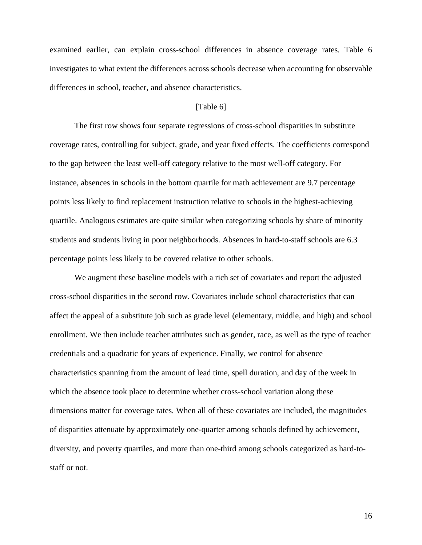examined earlier, can explain cross-school differences in absence coverage rates. Table 6 investigates to what extent the differences across schools decrease when accounting for observable differences in school, teacher, and absence characteristics.

#### [Table 6]

The first row shows four separate regressions of cross-school disparities in substitute coverage rates, controlling for subject, grade, and year fixed effects. The coefficients correspond to the gap between the least well-off category relative to the most well-off category. For instance, absences in schools in the bottom quartile for math achievement are 9.7 percentage points less likely to find replacement instruction relative to schools in the highest-achieving quartile. Analogous estimates are quite similar when categorizing schools by share of minority students and students living in poor neighborhoods. Absences in hard-to-staff schools are 6.3 percentage points less likely to be covered relative to other schools.

We augment these baseline models with a rich set of covariates and report the adjusted cross-school disparities in the second row. Covariates include school characteristics that can affect the appeal of a substitute job such as grade level (elementary, middle, and high) and school enrollment. We then include teacher attributes such as gender, race, as well as the type of teacher credentials and a quadratic for years of experience. Finally, we control for absence characteristics spanning from the amount of lead time, spell duration, and day of the week in which the absence took place to determine whether cross-school variation along these dimensions matter for coverage rates. When all of these covariates are included, the magnitudes of disparities attenuate by approximately one-quarter among schools defined by achievement, diversity, and poverty quartiles, and more than one-third among schools categorized as hard-tostaff or not.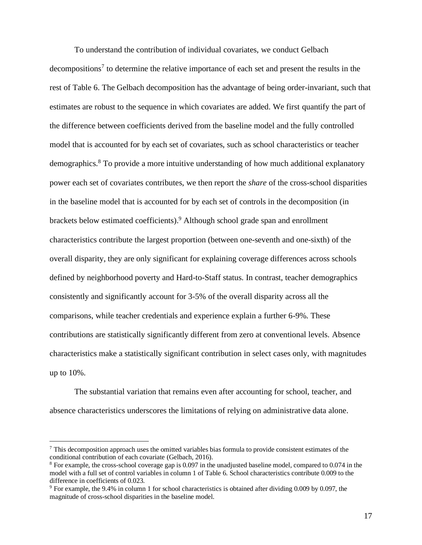To understand the contribution of individual covariates, we conduct Gelbach decompositions<sup>7</sup> to determine the relative importance of each set and present the results in the rest of Table 6. The Gelbach decomposition has the advantage of being order-invariant, such that estimates are robust to the sequence in which covariates are added. We first quantify the part of the difference between coefficients derived from the baseline model and the fully controlled model that is accounted for by each set of covariates, such as school characteristics or teacher demographics.<sup>8</sup> To provide a more intuitive understanding of how much additional explanatory power each set of covariates contributes, we then report the *share* of the cross-school disparities in the baseline model that is accounted for by each set of controls in the decomposition (in brackets below estimated coefficients). <sup>9</sup> Although school grade span and enrollment characteristics contribute the largest proportion (between one-seventh and one-sixth) of the overall disparity, they are only significant for explaining coverage differences across schools defined by neighborhood poverty and Hard-to-Staff status. In contrast, teacher demographics consistently and significantly account for 3-5% of the overall disparity across all the comparisons, while teacher credentials and experience explain a further 6-9%. These contributions are statistically significantly different from zero at conventional levels. Absence characteristics make a statistically significant contribution in select cases only, with magnitudes up to 10%.

The substantial variation that remains even after accounting for school, teacher, and absence characteristics underscores the limitations of relying on administrative data alone.

 $<sup>7</sup>$  This decomposition approach uses the omitted variables bias formula to provide consistent estimates of the</sup> conditional contribution of each covariate (Gelbach, 2016).

<sup>8</sup> For example, the cross-school coverage gap is 0.097 in the unadjusted baseline model, compared to 0.074 in the model with a full set of control variables in column 1 of Table 6. School characteristics contribute 0.009 to the difference in coefficients of 0.023.

<sup>9</sup> For example, the 9.4% in column 1 for school characteristics is obtained after dividing 0.009 by 0.097, the magnitude of cross-school disparities in the baseline model.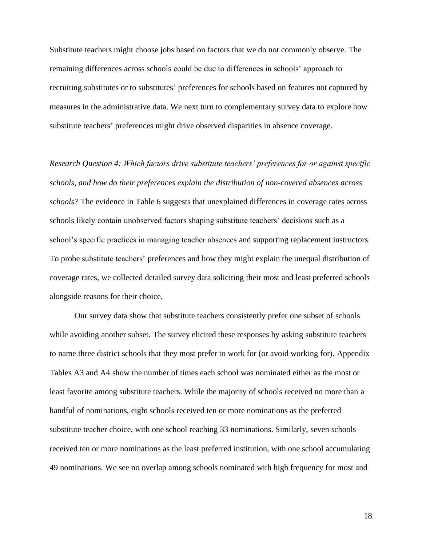Substitute teachers might choose jobs based on factors that we do not commonly observe. The remaining differences across schools could be due to differences in schools' approach to recruiting substitutes or to substitutes' preferences for schools based on features not captured by measures in the administrative data. We next turn to complementary survey data to explore how substitute teachers' preferences might drive observed disparities in absence coverage.

*Research Question 4: Which factors drive substitute teachers' preferences for or against specific schools, and how do their preferences explain the distribution of non-covered absences across schools?* The evidence in Table 6 suggests that unexplained differences in coverage rates across schools likely contain unobserved factors shaping substitute teachers' decisions such as a school's specific practices in managing teacher absences and supporting replacement instructors. To probe substitute teachers' preferences and how they might explain the unequal distribution of coverage rates, we collected detailed survey data soliciting their most and least preferred schools alongside reasons for their choice.

Our survey data show that substitute teachers consistently prefer one subset of schools while avoiding another subset. The survey elicited these responses by asking substitute teachers to name three district schools that they most prefer to work for (or avoid working for). Appendix Tables A3 and A4 show the number of times each school was nominated either as the most or least favorite among substitute teachers. While the majority of schools received no more than a handful of nominations, eight schools received ten or more nominations as the preferred substitute teacher choice, with one school reaching 33 nominations. Similarly, seven schools received ten or more nominations as the least preferred institution, with one school accumulating 49 nominations. We see no overlap among schools nominated with high frequency for most and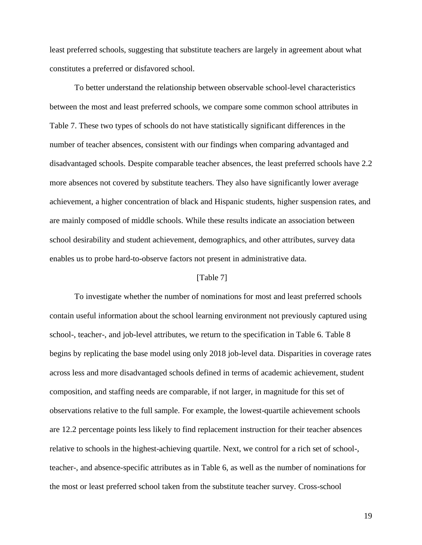least preferred schools, suggesting that substitute teachers are largely in agreement about what constitutes a preferred or disfavored school.

To better understand the relationship between observable school-level characteristics between the most and least preferred schools, we compare some common school attributes in Table 7. These two types of schools do not have statistically significant differences in the number of teacher absences, consistent with our findings when comparing advantaged and disadvantaged schools. Despite comparable teacher absences, the least preferred schools have 2.2 more absences not covered by substitute teachers. They also have significantly lower average achievement, a higher concentration of black and Hispanic students, higher suspension rates, and are mainly composed of middle schools. While these results indicate an association between school desirability and student achievement, demographics, and other attributes, survey data enables us to probe hard-to-observe factors not present in administrative data.

# [Table 7]

To investigate whether the number of nominations for most and least preferred schools contain useful information about the school learning environment not previously captured using school-, teacher-, and job-level attributes, we return to the specification in Table 6. Table 8 begins by replicating the base model using only 2018 job-level data. Disparities in coverage rates across less and more disadvantaged schools defined in terms of academic achievement, student composition, and staffing needs are comparable, if not larger, in magnitude for this set of observations relative to the full sample. For example, the lowest-quartile achievement schools are 12.2 percentage points less likely to find replacement instruction for their teacher absences relative to schools in the highest-achieving quartile. Next, we control for a rich set of school-, teacher-, and absence-specific attributes as in Table 6, as well as the number of nominations for the most or least preferred school taken from the substitute teacher survey. Cross-school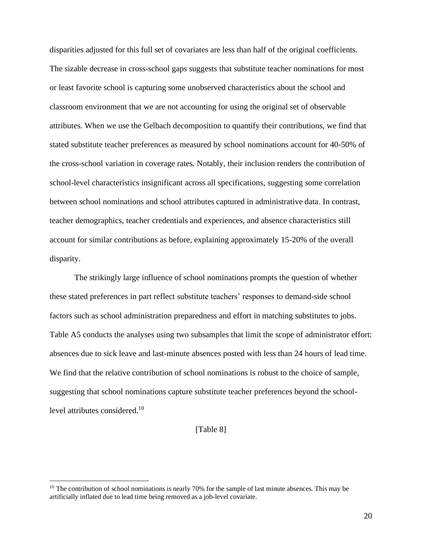disparities adjusted for this full set of covariates are less than half of the original coefficients. The sizable decrease in cross-school gaps suggests that substitute teacher nominations for most or least favorite school is capturing some unobserved characteristics about the school and classroom environment that we are not accounting for using the original set of observable attributes. When we use the Gelbach decomposition to quantify their contributions, we find that stated substitute teacher preferences as measured by school nominations account for 40-50% of the cross-school variation in coverage rates. Notably, their inclusion renders the contribution of school-level characteristics insignificant across all specifications, suggesting some correlation between school nominations and school attributes captured in administrative data. In contrast, teacher demographics, teacher credentials and experiences, and absence characteristics still account for similar contributions as before, explaining approximately 15-20% of the overall disparity.

The strikingly large influence of school nominations prompts the question of whether these stated preferences in part reflect substitute teachers' responses to demand-side school factors such as school administration preparedness and effort in matching substitutes to jobs. Table A5 conducts the analyses using two subsamples that limit the scope of administrator effort: absences due to sick leave and last-minute absences posted with less than 24 hours of lead time. We find that the relative contribution of school nominations is robust to the choice of sample, suggesting that school nominations capture substitute teacher preferences beyond the schoollevel attributes considered.<sup>10</sup>

[Table 8]

 $10$  The contribution of school nominations is nearly 70% for the sample of last minute absences. This may be artificially inflated due to lead time being removed as a job-level covariate.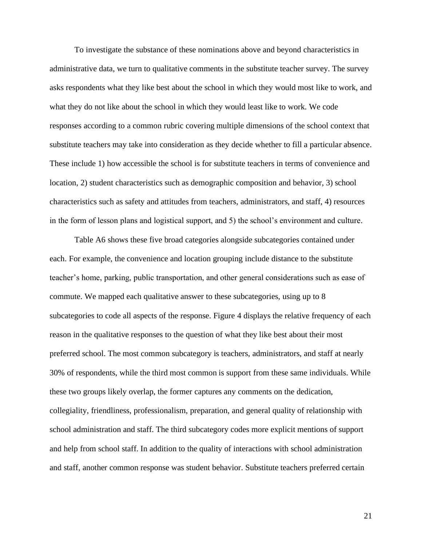To investigate the substance of these nominations above and beyond characteristics in administrative data, we turn to qualitative comments in the substitute teacher survey. The survey asks respondents what they like best about the school in which they would most like to work, and what they do not like about the school in which they would least like to work. We code responses according to a common rubric covering multiple dimensions of the school context that substitute teachers may take into consideration as they decide whether to fill a particular absence. These include 1) how accessible the school is for substitute teachers in terms of convenience and location, 2) student characteristics such as demographic composition and behavior, 3) school characteristics such as safety and attitudes from teachers, administrators, and staff, 4) resources in the form of lesson plans and logistical support, and 5) the school's environment and culture.

Table A6 shows these five broad categories alongside subcategories contained under each. For example, the convenience and location grouping include distance to the substitute teacher's home, parking, public transportation, and other general considerations such as ease of commute. We mapped each qualitative answer to these subcategories, using up to 8 subcategories to code all aspects of the response. Figure 4 displays the relative frequency of each reason in the qualitative responses to the question of what they like best about their most preferred school. The most common subcategory is teachers, administrators, and staff at nearly 30% of respondents, while the third most common is support from these same individuals. While these two groups likely overlap, the former captures any comments on the dedication, collegiality, friendliness, professionalism, preparation, and general quality of relationship with school administration and staff. The third subcategory codes more explicit mentions of support and help from school staff. In addition to the quality of interactions with school administration and staff, another common response was student behavior. Substitute teachers preferred certain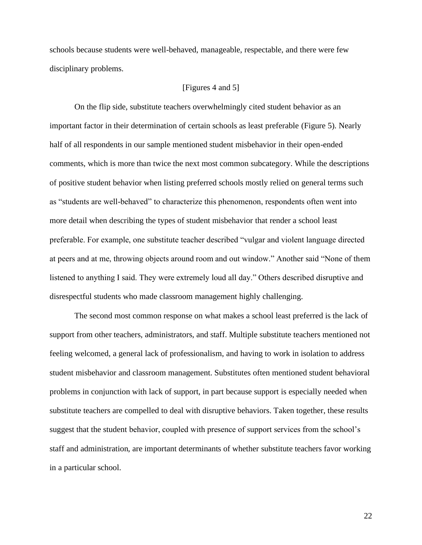schools because students were well-behaved, manageable, respectable, and there were few disciplinary problems.

#### [Figures 4 and 5]

On the flip side, substitute teachers overwhelmingly cited student behavior as an important factor in their determination of certain schools as least preferable (Figure 5). Nearly half of all respondents in our sample mentioned student misbehavior in their open-ended comments, which is more than twice the next most common subcategory. While the descriptions of positive student behavior when listing preferred schools mostly relied on general terms such as "students are well-behaved" to characterize this phenomenon, respondents often went into more detail when describing the types of student misbehavior that render a school least preferable. For example, one substitute teacher described "vulgar and violent language directed at peers and at me, throwing objects around room and out window." Another said "None of them listened to anything I said. They were extremely loud all day." Others described disruptive and disrespectful students who made classroom management highly challenging.

The second most common response on what makes a school least preferred is the lack of support from other teachers, administrators, and staff. Multiple substitute teachers mentioned not feeling welcomed, a general lack of professionalism, and having to work in isolation to address student misbehavior and classroom management. Substitutes often mentioned student behavioral problems in conjunction with lack of support, in part because support is especially needed when substitute teachers are compelled to deal with disruptive behaviors. Taken together, these results suggest that the student behavior, coupled with presence of support services from the school's staff and administration, are important determinants of whether substitute teachers favor working in a particular school.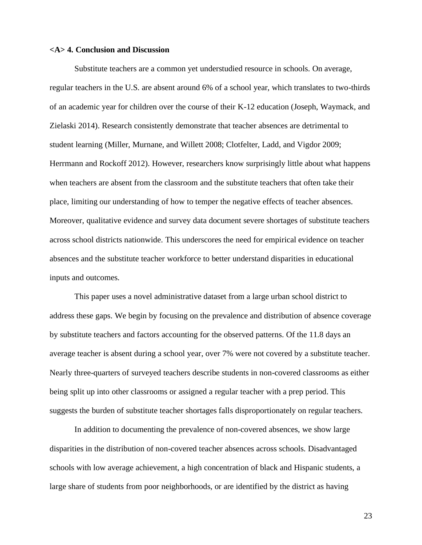#### **<A> 4. Conclusion and Discussion**

Substitute teachers are a common yet understudied resource in schools. On average, regular teachers in the U.S. are absent around 6% of a school year, which translates to two-thirds of an academic year for children over the course of their K-12 education (Joseph, Waymack, and Zielaski 2014). Research consistently demonstrate that teacher absences are detrimental to student learning (Miller, Murnane, and Willett 2008; Clotfelter, Ladd, and Vigdor 2009; Herrmann and Rockoff 2012). However, researchers know surprisingly little about what happens when teachers are absent from the classroom and the substitute teachers that often take their place, limiting our understanding of how to temper the negative effects of teacher absences. Moreover, qualitative evidence and survey data document severe shortages of substitute teachers across school districts nationwide. This underscores the need for empirical evidence on teacher absences and the substitute teacher workforce to better understand disparities in educational inputs and outcomes.

This paper uses a novel administrative dataset from a large urban school district to address these gaps. We begin by focusing on the prevalence and distribution of absence coverage by substitute teachers and factors accounting for the observed patterns. Of the 11.8 days an average teacher is absent during a school year, over 7% were not covered by a substitute teacher. Nearly three-quarters of surveyed teachers describe students in non-covered classrooms as either being split up into other classrooms or assigned a regular teacher with a prep period. This suggests the burden of substitute teacher shortages falls disproportionately on regular teachers.

In addition to documenting the prevalence of non-covered absences, we show large disparities in the distribution of non-covered teacher absences across schools. Disadvantaged schools with low average achievement, a high concentration of black and Hispanic students, a large share of students from poor neighborhoods, or are identified by the district as having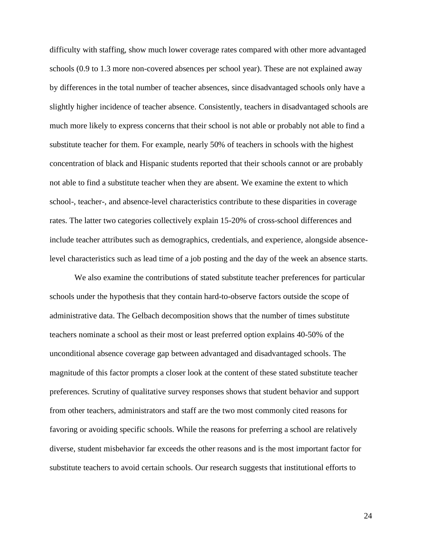difficulty with staffing, show much lower coverage rates compared with other more advantaged schools (0.9 to 1.3 more non-covered absences per school year). These are not explained away by differences in the total number of teacher absences, since disadvantaged schools only have a slightly higher incidence of teacher absence. Consistently, teachers in disadvantaged schools are much more likely to express concerns that their school is not able or probably not able to find a substitute teacher for them. For example, nearly 50% of teachers in schools with the highest concentration of black and Hispanic students reported that their schools cannot or are probably not able to find a substitute teacher when they are absent. We examine the extent to which school-, teacher-, and absence-level characteristics contribute to these disparities in coverage rates. The latter two categories collectively explain 15-20% of cross-school differences and include teacher attributes such as demographics, credentials, and experience, alongside absencelevel characteristics such as lead time of a job posting and the day of the week an absence starts.

We also examine the contributions of stated substitute teacher preferences for particular schools under the hypothesis that they contain hard-to-observe factors outside the scope of administrative data. The Gelbach decomposition shows that the number of times substitute teachers nominate a school as their most or least preferred option explains 40-50% of the unconditional absence coverage gap between advantaged and disadvantaged schools. The magnitude of this factor prompts a closer look at the content of these stated substitute teacher preferences. Scrutiny of qualitative survey responses shows that student behavior and support from other teachers, administrators and staff are the two most commonly cited reasons for favoring or avoiding specific schools. While the reasons for preferring a school are relatively diverse, student misbehavior far exceeds the other reasons and is the most important factor for substitute teachers to avoid certain schools. Our research suggests that institutional efforts to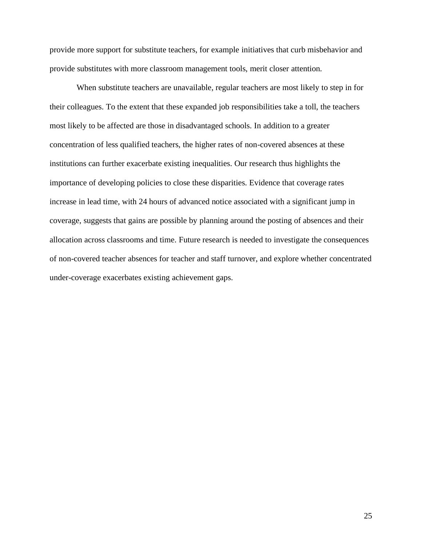provide more support for substitute teachers, for example initiatives that curb misbehavior and provide substitutes with more classroom management tools, merit closer attention.

When substitute teachers are unavailable, regular teachers are most likely to step in for their colleagues. To the extent that these expanded job responsibilities take a toll, the teachers most likely to be affected are those in disadvantaged schools. In addition to a greater concentration of less qualified teachers, the higher rates of non-covered absences at these institutions can further exacerbate existing inequalities. Our research thus highlights the importance of developing policies to close these disparities. Evidence that coverage rates increase in lead time, with 24 hours of advanced notice associated with a significant jump in coverage, suggests that gains are possible by planning around the posting of absences and their allocation across classrooms and time. Future research is needed to investigate the consequences of non-covered teacher absences for teacher and staff turnover, and explore whether concentrated under-coverage exacerbates existing achievement gaps.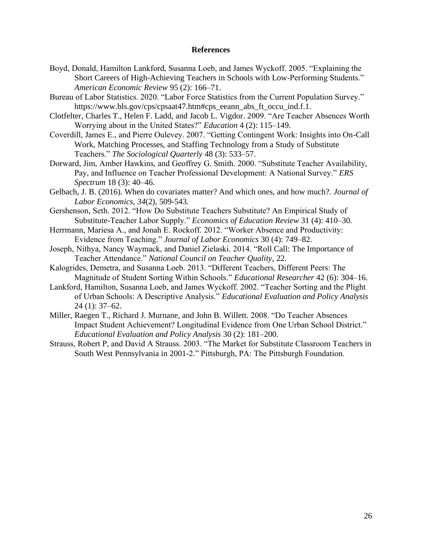#### **References**

- Boyd, Donald, Hamilton Lankford, Susanna Loeb, and James Wyckoff. 2005. "Explaining the Short Careers of High-Achieving Teachers in Schools with Low-Performing Students." *American Economic Review* 95 (2): 166–71.
- Bureau of Labor Statistics. 2020. "Labor Force Statistics from the Current Population Survey." https://www.bls.gov/cps/cpsaat47.htm#cps\_eeann\_abs\_ft\_occu\_ind.f.1.
- Clotfelter, Charles T., Helen F. Ladd, and Jacob L. Vigdor. 2009. "Are Teacher Absences Worth Worrying about in the United States?" *Education* 4 (2): 115–149.
- Coverdill, James E., and Pierre Oulevey. 2007. "Getting Contingent Work: Insights into On-Call Work, Matching Processes, and Staffing Technology from a Study of Substitute Teachers." *The Sociological Quarterly* 48 (3): 533–57.
- Dorward, Jim, Amber Hawkins, and Geoffrey G. Smith. 2000. "Substitute Teacher Availability, Pay, and Influence on Teacher Professional Development: A National Survey." *ERS Spectrum* 18 (3): 40–46.
- Gelbach, J. B. (2016). When do covariates matter? And which ones, and how much?. *Journal of Labor Economics*, *34*(2), 509-543.
- Gershenson, Seth. 2012. "How Do Substitute Teachers Substitute? An Empirical Study of Substitute-Teacher Labor Supply." *Economics of Education Review* 31 (4): 410–30.
- Herrmann, Mariesa A., and Jonah E. Rockoff. 2012. "Worker Absence and Productivity: Evidence from Teaching." *Journal of Labor Economics* 30 (4): 749–82.
- Joseph, Nithya, Nancy Waymack, and Daniel Zielaski. 2014. "Roll Call: The Importance of Teacher Attendance." *National Council on Teacher Quality*, 22.
- Kalogrides, Demetra, and Susanna Loeb. 2013. "Different Teachers, Different Peers: The Magnitude of Student Sorting Within Schools." *Educational Researcher* 42 (6): 304–16.
- Lankford, Hamilton, Susanna Loeb, and James Wyckoff. 2002. "Teacher Sorting and the Plight of Urban Schools: A Descriptive Analysis." *Educational Evaluation and Policy Analysis* 24 (1): 37–62.
- Miller, Raegen T., Richard J. Murnane, and John B. Willett. 2008. "Do Teacher Absences Impact Student Achievement? Longitudinal Evidence from One Urban School District." *Educational Evaluation and Policy Analysis* 30 (2): 181–200.
- Strauss, Robert P, and David A Strauss. 2003. "The Market for Substitute Classroom Teachers in South West Pennsylvania in 2001-2." Pittsburgh, PA: The Pittsburgh Foundation.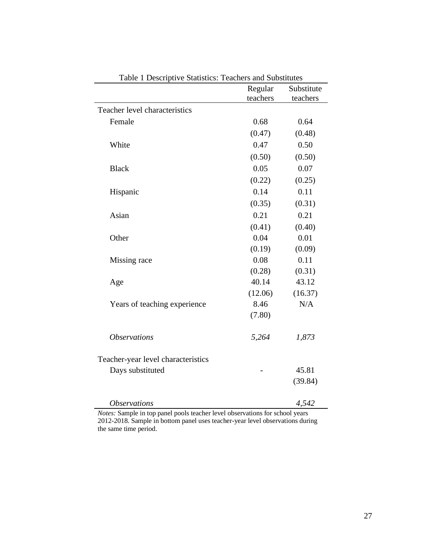|                                    | Regular  | Substitute |
|------------------------------------|----------|------------|
|                                    | teachers | teachers   |
| Teacher level characteristics      |          |            |
| Female                             | 0.68     | 0.64       |
|                                    | (0.47)   | (0.48)     |
| White                              | 0.47     | 0.50       |
|                                    | (0.50)   | (0.50)     |
| <b>Black</b>                       | 0.05     | 0.07       |
|                                    | (0.22)   | (0.25)     |
| Hispanic                           | 0.14     | 0.11       |
|                                    | (0.35)   | (0.31)     |
| Asian                              | 0.21     | 0.21       |
|                                    | (0.41)   | (0.40)     |
| Other                              | 0.04     | 0.01       |
|                                    | (0.19)   | (0.09)     |
| Missing race                       | 0.08     | 0.11       |
|                                    | (0.28)   | (0.31)     |
| Age                                | 40.14    | 43.12      |
|                                    | (12.06)  | (16.37)    |
| Years of teaching experience       | 8.46     | N/A        |
|                                    | (7.80)   |            |
| <i><b>Observations</b></i>         | 5,264    | 1,873      |
|                                    |          |            |
| Teacher-year level characteristics |          |            |
| Days substituted                   |          | 45.81      |
|                                    |          | (39.84)    |
|                                    |          |            |
| <i><b>Observations</b></i>         |          | 4,542      |

Table 1 Descriptive Statistics: Teachers and Substitutes

*Notes:* Sample in top panel pools teacher level observations for school years 2012-2018. Sample in bottom panel uses teacher-year level observations during the same time period.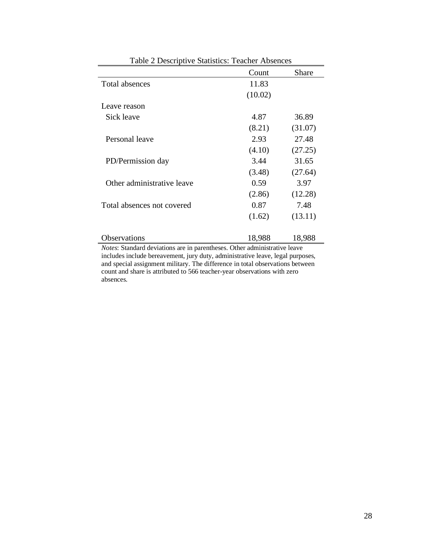|                            | Count   | <b>Share</b> |
|----------------------------|---------|--------------|
| Total absences             | 11.83   |              |
|                            | (10.02) |              |
| Leave reason               |         |              |
| Sick leave                 | 4.87    | 36.89        |
|                            | (8.21)  | (31.07)      |
| Personal leave             | 2.93    | 27.48        |
|                            | (4.10)  | (27.25)      |
| PD/Permission day          | 3.44    | 31.65        |
|                            | (3.48)  | (27.64)      |
| Other administrative leave | 0.59    | 3.97         |
|                            | (2.86)  | (12.28)      |
| Total absences not covered | 0.87    | 7.48         |
|                            | (1.62)  | (13.11)      |
| Observations               | 18,988  | 18,988       |

Table 2 Descriptive Statistics: Teacher Absences

*Notes*: Standard deviations are in parentheses. Other administrative leave includes include bereavement, jury duty, administrative leave, legal purposes, and special assignment military. The difference in total observations between count and share is attributed to 566 teacher-year observations with zero absences.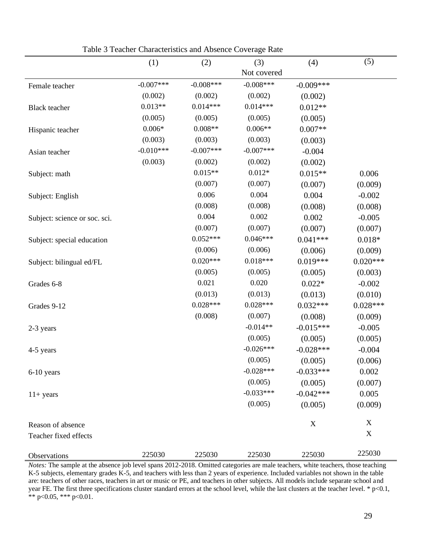|                               | (1)         | (2)          | (3)         | (4)         | (5)         |
|-------------------------------|-------------|--------------|-------------|-------------|-------------|
|                               |             |              | Not covered |             |             |
| Female teacher                | $-0.007***$ | $-0.008$ *** | $-0.008***$ | $-0.009***$ |             |
|                               | (0.002)     | (0.002)      | (0.002)     | (0.002)     |             |
| <b>Black</b> teacher          | $0.013**$   | $0.014***$   | $0.014***$  | $0.012**$   |             |
|                               | (0.005)     | (0.005)      | (0.005)     | (0.005)     |             |
| Hispanic teacher              | $0.006*$    | $0.008**$    | $0.006**$   | $0.007**$   |             |
|                               | (0.003)     | (0.003)      | (0.003)     | (0.003)     |             |
| Asian teacher                 | $-0.010***$ | $-0.007***$  | $-0.007***$ | $-0.004$    |             |
|                               | (0.003)     | (0.002)      | (0.002)     | (0.002)     |             |
| Subject: math                 |             | $0.015**$    | $0.012*$    | $0.015**$   | 0.006       |
|                               |             | (0.007)      | (0.007)     | (0.007)     | (0.009)     |
| Subject: English              |             | 0.006        | 0.004       | 0.004       | $-0.002$    |
|                               |             | (0.008)      | (0.008)     | (0.008)     | (0.008)     |
| Subject: science or soc. sci. |             | 0.004        | 0.002       | 0.002       | $-0.005$    |
|                               |             | (0.007)      | (0.007)     | (0.007)     | (0.007)     |
| Subject: special education    |             | $0.052***$   | $0.046***$  | $0.041***$  | $0.018*$    |
|                               |             | (0.006)      | (0.006)     | (0.006)     | (0.009)     |
| Subject: bilingual ed/FL      |             | $0.020***$   | $0.018***$  | $0.019***$  | $0.020***$  |
|                               |             | (0.005)      | (0.005)     | (0.005)     | (0.003)     |
| Grades 6-8                    |             | 0.021        | 0.020       | $0.022*$    | $-0.002$    |
|                               |             | (0.013)      | (0.013)     | (0.013)     | (0.010)     |
| Grades 9-12                   |             | $0.028***$   | $0.028***$  | $0.032***$  | $0.028***$  |
|                               |             | (0.008)      | (0.007)     | (0.008)     | (0.009)     |
| 2-3 years                     |             |              | $-0.014**$  | $-0.015***$ | $-0.005$    |
|                               |             |              | (0.005)     | (0.005)     | (0.005)     |
| 4-5 years                     |             |              | $-0.026***$ | $-0.028***$ | $-0.004$    |
|                               |             |              | (0.005)     | (0.005)     | (0.006)     |
| 6-10 years                    |             |              | $-0.028***$ | $-0.033***$ | 0.002       |
|                               |             |              | (0.005)     | (0.005)     | (0.007)     |
| $11+ years$                   |             |              | $-0.033***$ | $-0.042***$ | 0.005       |
|                               |             |              | (0.005)     | (0.005)     | (0.009)     |
| Reason of absence             |             |              |             | $\mathbf X$ | X           |
| Teacher fixed effects         |             |              |             |             | $\mathbf X$ |
|                               | 225030      | 225030       | 225030      | 225030      | 225030      |
| Observations                  |             |              |             |             |             |

Table 3 Teacher Characteristics and Absence Coverage Rate

*Notes:* The sample at the absence job level spans 2012-2018. Omitted categories are male teachers, white teachers, those teaching K-5 subjects, elementary grades K-5, and teachers with less than 2 years of experience. Included variables not shown in the table are: teachers of other races, teachers in art or music or PE, and teachers in other subjects. All models include separate school and year FE. The first three specifications cluster standard errors at the school level, while the last clusters at the teacher level. \* p<0.1, \*\* p<0.05, \*\*\* p<0.01.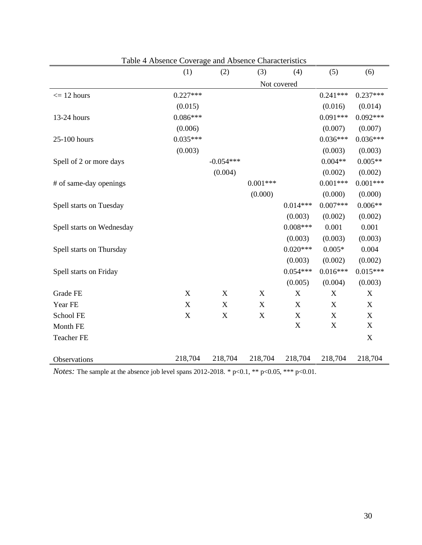|                           | (1)                       | (2)                       | (3)         | (4)         | (5)                       | (6)              |
|---------------------------|---------------------------|---------------------------|-------------|-------------|---------------------------|------------------|
|                           |                           |                           | Not covered |             |                           |                  |
| $\epsilon$ = 12 hours     | $0.227***$                |                           |             |             | $0.241***$                | $0.237***$       |
|                           | (0.015)                   |                           |             |             | (0.016)                   | (0.014)          |
| 13-24 hours               | $0.086***$                |                           |             |             | $0.091***$                | $0.092***$       |
|                           | (0.006)                   |                           |             |             | (0.007)                   | (0.007)          |
| 25-100 hours              | $0.035***$                |                           |             |             | $0.036***$                | $0.036***$       |
|                           | (0.003)                   |                           |             |             | (0.003)                   | (0.003)          |
| Spell of 2 or more days   |                           | $-0.054***$               |             |             | $0.004**$                 | $0.005**$        |
|                           |                           | (0.004)                   |             |             | (0.002)                   | (0.002)          |
| # of same-day openings    |                           |                           | $0.001***$  |             | $0.001***$                | $0.001***$       |
|                           |                           |                           | (0.000)     |             | (0.000)                   | (0.000)          |
| Spell starts on Tuesday   |                           |                           |             | $0.014***$  | $0.007***$                | $0.006**$        |
|                           |                           |                           |             | (0.003)     | (0.002)                   | (0.002)          |
| Spell starts on Wednesday |                           |                           |             | $0.008***$  | 0.001                     | 0.001            |
|                           |                           |                           |             | (0.003)     | (0.003)                   | (0.003)          |
| Spell starts on Thursday  |                           |                           |             | $0.020***$  | $0.005*$                  | 0.004            |
|                           |                           |                           |             | (0.003)     | (0.002)                   | (0.002)          |
| Spell starts on Friday    |                           |                           |             | $0.054***$  | $0.016***$                | $0.015***$       |
|                           |                           |                           |             | (0.005)     | (0.004)                   | (0.003)          |
| Grade FE                  | $\boldsymbol{\mathrm{X}}$ | $\boldsymbol{\mathrm{X}}$ | X           | $\mathbf X$ | $\boldsymbol{\mathrm{X}}$ | $\boldsymbol{X}$ |
| Year FE                   | $\boldsymbol{\mathrm{X}}$ | $\boldsymbol{\mathrm{X}}$ | X           | X           | $\boldsymbol{\mathrm{X}}$ | X                |
| School FE                 | $\mathbf X$               | $\mathbf X$               | $\mathbf X$ | $\mathbf X$ | X                         | $\mathbf X$      |
| Month FE                  |                           |                           |             | $\mathbf X$ | $\mathbf X$               | $\mathbf X$      |
| <b>Teacher FE</b>         |                           |                           |             |             |                           | X                |
|                           |                           |                           |             |             |                           |                  |
| Observations              | 218,704                   | 218,704                   | 218,704     | 218,704     | 218,704                   | 218,704          |

Table 4 Absence Coverage and Absence Characteristics

*Notes:* The sample at the absence job level spans 2012-2018. \* p<0.1, \*\* p<0.05, \*\*\* p<0.01.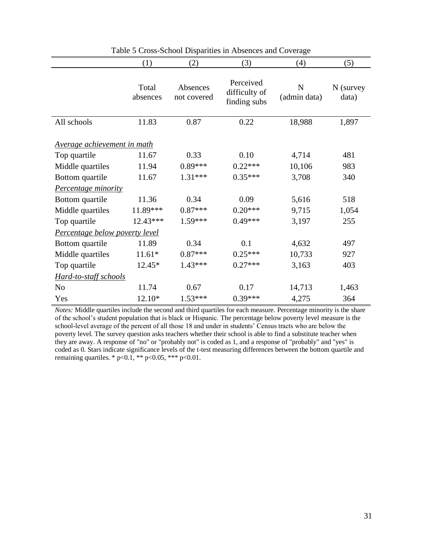|                                    | (1)               | (2)                     | (3)                                        | (4)               | (5)                  |
|------------------------------------|-------------------|-------------------------|--------------------------------------------|-------------------|----------------------|
|                                    | Total<br>absences | Absences<br>not covered | Perceived<br>difficulty of<br>finding subs | N<br>(admin data) | $N$ (survey<br>data) |
| All schools                        | 11.83             | 0.87                    | 0.22                                       | 18,988            | 1,897                |
| <u>Average achievement in math</u> |                   |                         |                                            |                   |                      |
| Top quartile                       | 11.67             | 0.33                    | 0.10                                       | 4,714             | 481                  |
| Middle quartiles                   | 11.94             | $0.89***$               | $0.22***$                                  | 10,106            | 983                  |
| Bottom quartile                    | 11.67             | $1.31***$               | $0.35***$                                  | 3,708             | 340                  |
| Percentage minority                |                   |                         |                                            |                   |                      |
| Bottom quartile                    | 11.36             | 0.34                    | 0.09                                       | 5,616             | 518                  |
| Middle quartiles                   | 11.89***          | $0.87***$               | $0.20***$                                  | 9,715             | 1,054                |
| Top quartile                       | 12.43***          | $1.59***$               | $0.49***$                                  | 3,197             | 255                  |
| Percentage below poverty level     |                   |                         |                                            |                   |                      |
| Bottom quartile                    | 11.89             | 0.34                    | 0.1                                        | 4,632             | 497                  |
| Middle quartiles                   | $11.61*$          | $0.87***$               | $0.25***$                                  | 10,733            | 927                  |
| Top quartile                       | 12.45*            | $1.43***$               | $0.27***$                                  | 3,163             | 403                  |
| Hard-to-staff schools              |                   |                         |                                            |                   |                      |
| N <sub>o</sub>                     | 11.74             | 0.67                    | 0.17                                       | 14,713            | 1,463                |
| Yes                                | 12.10*            | $1.53***$               | $0.39***$                                  | 4,275             | 364                  |

Table 5 Cross-School Disparities in Absences and Coverage

*Notes:* Middle quartiles include the second and third quartiles for each measure*.* Percentage minority is the share of the school's student population that is black or Hispanic. The percentage below poverty level measure is the school-level average of the percent of all those 18 and under in students' Census tracts who are below the poverty level. The survey question asks teachers whether their school is able to find a substitute teacher when they are away. A response of "no" or "probably not" is coded as 1, and a response of "probably" and "yes" is coded as 0. Stars indicate significance levels of the t-test measuring differences between the bottom quartile and remaining quartiles. \*  $p<0.1$ , \*\*  $p<0.05$ , \*\*\*  $p<0.01$ .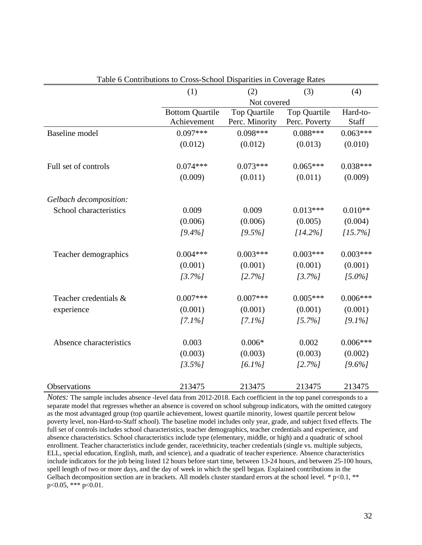|                         | (1)                    | (2)            | (3)           | (4)        |
|-------------------------|------------------------|----------------|---------------|------------|
|                         |                        | Not covered    |               |            |
|                         | <b>Bottom Quartile</b> | Top Quartile   | Top Quartile  | Hard-to-   |
|                         | Achievement            | Perc. Minority | Perc. Poverty | Staff      |
| <b>Baseline</b> model   | $0.097***$             | $0.098***$     | $0.088***$    | $0.063***$ |
|                         | (0.012)                | (0.012)        | (0.013)       | (0.010)    |
| Full set of controls    | $0.074***$             | $0.073***$     | $0.065***$    | $0.038***$ |
|                         | (0.009)                | (0.011)        | (0.011)       | (0.009)    |
| Gelbach decomposition:  |                        |                |               |            |
| School characteristics  | 0.009                  | 0.009          | $0.013***$    | $0.010**$  |
|                         | (0.006)                | (0.006)        | (0.005)       | (0.004)    |
|                         | $[9.4\%]$              | $[9.5\%]$      | $[14.2\%]$    | $[15.7\%]$ |
| Teacher demographics    | $0.004***$             | $0.003***$     | $0.003***$    | $0.003***$ |
|                         | (0.001)                | (0.001)        | (0.001)       | (0.001)    |
|                         | $[3.7\%]$              | $[2.7\%]$      | $[3.7\%]$     | $15.0\%$   |
| Teacher credentials &   | $0.007***$             | $0.007***$     | $0.005***$    | $0.006***$ |
| experience              | (0.001)                | (0.001)        | (0.001)       | (0.001)    |
|                         | $[7.1\%]$              | $[7.1\%]$      | $[5.7\%]$     | $[9.1\%]$  |
| Absence characteristics | 0.003                  | $0.006*$       | 0.002         | $0.006***$ |
|                         | (0.003)                | (0.003)        | (0.003)       | (0.002)    |
|                         | $[3.5\%]$              | $[6.1\%]$      | $[2.7\%]$     | $[9.6\%]$  |
| Observations            | 213475                 | 213475         | 213475        | 213475     |

| Table 6 Contributions to Cross-School Disparities in Coverage Rates |  |  |
|---------------------------------------------------------------------|--|--|
|                                                                     |  |  |

*Notes:* The sample includes absence -level data from 2012-2018. Each coefficient in the top panel corresponds to a separate model that regresses whether an absence is covered on school subgroup indicators, with the omitted category as the most advantaged group (top quartile achievement, lowest quartile minority, lowest quartile percent below poverty level, non-Hard-to-Staff school). The baseline model includes only year, grade, and subject fixed effects. The full set of controls includes school characteristics, teacher demographics, teacher credentials and experience, and absence characteristics. School characteristics include type (elementary, middle, or high) and a quadratic of school enrollment. Teacher characteristics include gender, race/ethnicity, teacher credentials (single vs. multiple subjects, ELL, special education, English, math, and science), and a quadratic of teacher experience. Absence characteristics include indicators for the job being listed 12 hours before start time, between 13-24 hours, and between 25-100 hours, spell length of two or more days, and the day of week in which the spell began. Explained contributions in the Gelbach decomposition section are in brackets. All models cluster standard errors at the school level.  $*$  p<0.1,  $**$  $p<0.05$ , \*\*\*  $p<0.01$ .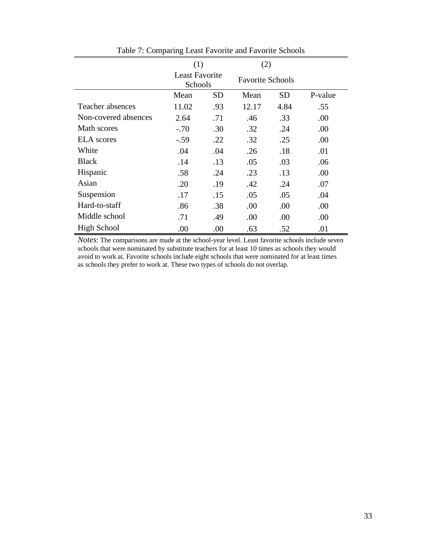|                      | (1)                              |           | (2)   |                         |         |
|----------------------|----------------------------------|-----------|-------|-------------------------|---------|
|                      | <b>Least Favorite</b><br>Schools |           |       | <b>Favorite Schools</b> |         |
|                      | Mean                             | <b>SD</b> | Mean  | <b>SD</b>               | P-value |
| Teacher absences     | 11.02                            | .93       | 12.17 | 4.84                    | .55     |
| Non-covered absences | 2.64                             | .71       | .46   | .33                     | .00     |
| Math scores          | $-.70$                           | .30       | .32   | .24                     | .00     |
| <b>ELA</b> scores    | $-.59$                           | .22       | .32   | .25                     | .00     |
| White                | .04                              | .04       | .26   | .18                     | .01     |
| <b>Black</b>         | .14                              | .13       | .05   | .03                     | .06     |
| Hispanic             | .58                              | .24       | .23   | .13                     | .00     |
| Asian                | .20                              | .19       | .42   | .24                     | .07     |
| Suspension           | .17                              | .15       | .05   | .05                     | .04     |
| Hard-to-staff        | .86                              | .38       | .00   | .00                     | .00     |
| Middle school        | .71                              | .49       | .00   | .00                     | .00     |
| <b>High School</b>   | .00                              | .00       | .63   | .52                     | .01     |

Table 7: Comparing Least Favorite and Favorite Schools

*Notes*: The comparisons are made at the school-year level. Least favorite schools include seven schools that were nominated by substitute teachers for at least 10 times as schools they would avoid to work at. Favorite schools include eight schools that were nominated for at least times as schools they prefer to work at. These two types of schools do not overlap.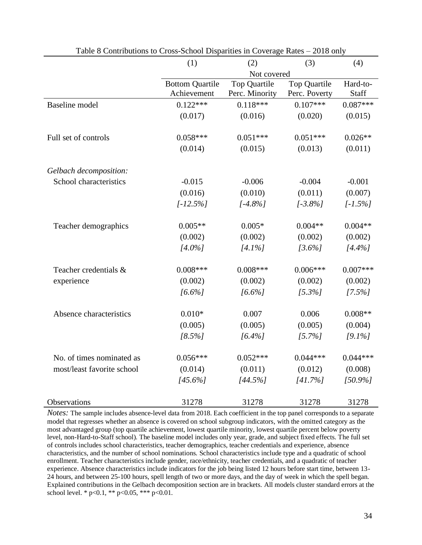|                                                  | (1)                    | (2)            | (3)                 | (4)        |
|--------------------------------------------------|------------------------|----------------|---------------------|------------|
|                                                  |                        | Not covered    |                     |            |
|                                                  | <b>Bottom Quartile</b> | Top Quartile   | <b>Top Quartile</b> | Hard-to-   |
|                                                  | Achievement            | Perc. Minority | Perc. Poverty       | Staff      |
| <b>Baseline</b> model                            | $0.122***$             | $0.118***$     | $0.107***$          | $0.087***$ |
|                                                  | (0.017)                | (0.016)        | (0.020)             | (0.015)    |
|                                                  |                        |                |                     |            |
| Full set of controls                             | $0.058***$             | $0.051***$     | $0.051***$          | $0.026**$  |
|                                                  | (0.014)                | (0.015)        | (0.013)             | (0.011)    |
|                                                  |                        |                |                     |            |
| Gelbach decomposition:<br>School characteristics | $-0.015$               | $-0.006$       | $-0.004$            | $-0.001$   |
|                                                  | (0.016)                |                | (0.011)             | (0.007)    |
|                                                  |                        | (0.010)        |                     |            |
|                                                  | $[-12.5\%]$            | $[-4.8\%]$     | $[-3.8\%]$          | $[-1.5\%]$ |
| Teacher demographics                             | $0.005**$              | $0.005*$       | $0.004**$           | $0.004**$  |
|                                                  | (0.002)                | (0.002)        | (0.002)             | (0.002)    |
|                                                  | $[4.0\%]$              | $[4.1\%]$      | $13.6\%$            | $[4.4\%]$  |
| Teacher credentials &                            | $0.008***$             | $0.008***$     | $0.006***$          | $0.007***$ |
| experience                                       | (0.002)                | (0.002)        | (0.002)             | (0.002)    |
|                                                  | $[6.6\%]$              | $[6.6\%]$      |                     | $[7.5\%]$  |
|                                                  |                        |                | $[5.3\%]$           |            |
| Absence characteristics                          | $0.010*$               | 0.007          | 0.006               | $0.008**$  |
|                                                  | (0.005)                | (0.005)        | (0.005)             | (0.004)    |
|                                                  | $[8.5\%]$              | $[6.4\%]$      | $[5.7\%]$           | $[9.1\%]$  |
| No. of times nominated as                        | $0.056***$             | $0.052***$     | $0.044***$          | $0.044***$ |
| most/least favorite school                       | (0.014)                | (0.011)        | (0.012)             | (0.008)    |
|                                                  | $[45.6\%]$             | $[44.5\%]$     | [41.7%]             | $[50.9\%]$ |
|                                                  |                        |                |                     |            |
| Observations                                     | 31278                  | 31278          | 31278               | 31278      |

Table 8 Contributions to Cross-School Disparities in Coverage Rates – 2018 only

*Notes:* The sample includes absence-level data from 2018. Each coefficient in the top panel corresponds to a separate model that regresses whether an absence is covered on school subgroup indicators, with the omitted category as the most advantaged group (top quartile achievement, lowest quartile minority, lowest quartile percent below poverty level, non-Hard-to-Staff school). The baseline model includes only year, grade, and subject fixed effects. The full set of controls includes school characteristics, teacher demographics, teacher credentials and experience, absence characteristics, and the number of school nominations. School characteristics include type and a quadratic of school enrollment. Teacher characteristics include gender, race/ethnicity, teacher credentials, and a quadratic of teacher experience. Absence characteristics include indicators for the job being listed 12 hours before start time, between 13- 24 hours, and between 25-100 hours, spell length of two or more days, and the day of week in which the spell began. Explained contributions in the Gelbach decomposition section are in brackets. All models cluster standard errors at the school level. \*  $p<0.1$ , \*\*  $p<0.05$ , \*\*\*  $p<0.01$ .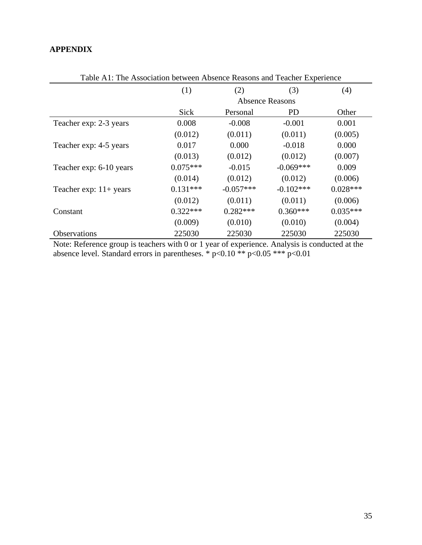# **APPENDIX**

|                                  | (1)        | (2)                    | (3)          | (4)        |  |  |
|----------------------------------|------------|------------------------|--------------|------------|--|--|
|                                  |            | <b>Absence Reasons</b> |              |            |  |  |
|                                  | Sick       | Personal               | <b>PD</b>    | Other      |  |  |
| Teacher exp: 2-3 years           | 0.008      | $-0.008$               | $-0.001$     | 0.001      |  |  |
|                                  | (0.012)    | (0.011)                | (0.011)      | (0.005)    |  |  |
| Teacher exp: 4-5 years           | 0.017      | 0.000                  | $-0.018$     | 0.000      |  |  |
|                                  | (0.013)    | (0.012)                | (0.012)      | (0.007)    |  |  |
| Teacher exp: 6-10 years          | $0.075***$ | $-0.015$               | $-0.069***$  | 0.009      |  |  |
|                                  | (0.014)    | (0.012)                | (0.012)      | (0.006)    |  |  |
| Teacher exp: $11 + \text{years}$ | $0.131***$ | $-0.057***$            | $-0.102$ *** | $0.028***$ |  |  |
|                                  | (0.012)    | (0.011)                | (0.011)      | (0.006)    |  |  |
| Constant                         | $0.322***$ | $0.282***$             | $0.360***$   | $0.035***$ |  |  |
|                                  | (0.009)    | (0.010)                | (0.010)      | (0.004)    |  |  |
| <b>Observations</b>              | 225030     | 225030                 | 225030       | 225030     |  |  |

Table A1: The Association between Absence Reasons and Teacher Experience

Note: Reference group is teachers with 0 or 1 year of experience. Analysis is conducted at the absence level. Standard errors in parentheses.  $*$  p<0.10  $**$  p<0.05  $***$  p<0.01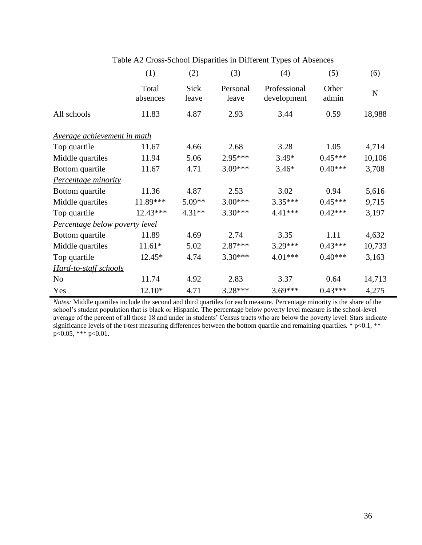|                                | (1)               | (2)           | (3)               | (4)                         | (5)            | (6)         |
|--------------------------------|-------------------|---------------|-------------------|-----------------------------|----------------|-------------|
|                                | Total<br>absences | Sick<br>leave | Personal<br>leave | Professional<br>development | Other<br>admin | $\mathbf N$ |
| All schools                    | 11.83             | 4.87          | 2.93              | 3.44                        | 0.59           | 18,988      |
| Average achievement in math    |                   |               |                   |                             |                |             |
| Top quartile                   | 11.67             | 4.66          | 2.68              | 3.28                        | 1.05           | 4,714       |
| Middle quartiles               | 11.94             | 5.06          | 2.95***           | $3.49*$                     | $0.45***$      | 10,106      |
| Bottom quartile                | 11.67             | 4.71          | 3.09***           | $3.46*$                     | $0.40***$      | 3,708       |
| <b>Percentage minority</b>     |                   |               |                   |                             |                |             |
| Bottom quartile                | 11.36             | 4.87          | 2.53              | 3.02                        | 0.94           | 5,616       |
| Middle quartiles               | 11.89***          | $5.09**$      | $3.00***$         | $3.35***$                   | $0.45***$      | 9,715       |
| Top quartile                   | 12.43***          | $4.31**$      | $3.30***$         | $4.41***$                   | $0.42***$      | 3,197       |
| Percentage below poverty level |                   |               |                   |                             |                |             |
| Bottom quartile                | 11.89             | 4.69          | 2.74              | 3.35                        | 1.11           | 4,632       |
| Middle quartiles               | $11.61*$          | 5.02          | 2.87***           | 3.29***                     | $0.43***$      | 10,733      |
| Top quartile                   | $12.45*$          | 4.74          | 3.30***           | $4.01***$                   | $0.40***$      | 3,163       |
| Hard-to-staff schools          |                   |               |                   |                             |                |             |
| N <sub>o</sub>                 | 11.74             | 4.92          | 2.83              | 3.37                        | 0.64           | 14,713      |
| Yes                            | 12.10*            | 4.71          | 3.28***           | $3.69***$                   | $0.43***$      | 4,275       |

Table A2 Cross-School Disparities in Different Types of Absences

*Notes:* Middle quartiles include the second and third quartiles for each measure*.* Percentage minority is the share of the school's student population that is black or Hispanic. The percentage below poverty level measure is the school-level average of the percent of all those 18 and under in students' Census tracts who are below the poverty level. Stars indicate significance levels of the t-test measuring differences between the bottom quartile and remaining quartiles. \*  $p<0.1$ , \*\* p<0.05, \*\*\* p<0.01.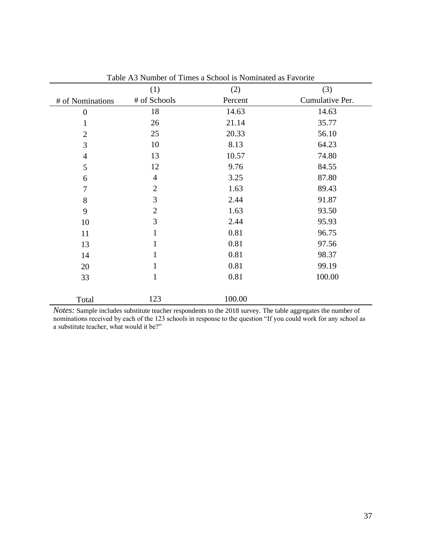|                  | (1)            | (2)     | (3)             |
|------------------|----------------|---------|-----------------|
| # of Nominations | # of Schools   | Percent | Cumulative Per. |
| $\boldsymbol{0}$ | 18             | 14.63   | 14.63           |
| $\mathbf{1}$     | 26             | 21.14   | 35.77           |
| $\overline{2}$   | 25             | 20.33   | 56.10           |
| 3                | 10             | 8.13    | 64.23           |
| $\overline{4}$   | 13             | 10.57   | 74.80           |
| 5                | 12             | 9.76    | 84.55           |
| 6                | $\overline{4}$ | 3.25    | 87.80           |
| $\overline{7}$   | $\overline{2}$ | 1.63    | 89.43           |
| 8                | 3              | 2.44    | 91.87           |
| 9                | $\overline{2}$ | 1.63    | 93.50           |
| 10               | 3              | 2.44    | 95.93           |
| 11               | $\mathbf{1}$   | 0.81    | 96.75           |
| 13               | $\mathbf{1}$   | 0.81    | 97.56           |
| 14               | $\mathbf{1}$   | 0.81    | 98.37           |
| 20               | $\mathbf{1}$   | 0.81    | 99.19           |
| 33               | $\mathbf{1}$   | 0.81    | 100.00          |
| Total            | 123            | 100.00  |                 |

Table A3 Number of Times a School is Nominated as Favorite

*Notes:* Sample includes substitute teacher respondents to the 2018 survey. The table aggregates the number of nominations received by each of the 123 schools in response to the question "If you could work for any school as a substitute teacher, what would it be?"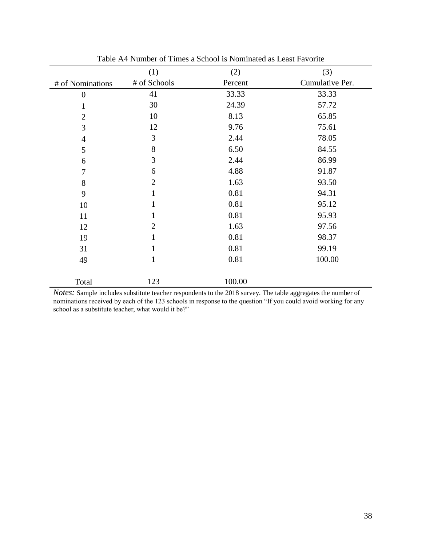|                       | (1)            | (2)     | (3)             |
|-----------------------|----------------|---------|-----------------|
| # of Nominations      | # of Schools   | Percent | Cumulative Per. |
| $\boldsymbol{0}$      | 41             | 33.33   | 33.33           |
| 1                     | 30             | 24.39   | 57.72           |
| $\overline{2}$        | 10             | 8.13    | 65.85           |
| 3                     | 12             | 9.76    | 75.61           |
| 4                     | 3              | 2.44    | 78.05           |
| 5                     | 8              | 6.50    | 84.55           |
| 6                     | 3              | 2.44    | 86.99           |
| 7                     | 6              | 4.88    | 91.87           |
| $8\,$                 | $\overline{2}$ | 1.63    | 93.50           |
| 9                     | $\mathbf{1}$   | 0.81    | 94.31           |
| 10                    | $\mathbf{1}$   | 0.81    | 95.12           |
| 11                    | 1              | 0.81    | 95.93           |
| 12                    | $\overline{2}$ | 1.63    | 97.56           |
| 19                    | 1              | 0.81    | 98.37           |
| 31                    | 1              | 0.81    | 99.19           |
| 49                    | 1              | 0.81    | 100.00          |
|                       |                |         |                 |
| Total<br>$\mathbf{r}$ | 123            | 100.00  |                 |

Table A4 Number of Times a School is Nominated as Least Favorite

*Notes:* Sample includes substitute teacher respondents to the 2018 survey. The table aggregates the number of nominations received by each of the 123 schools in response to the question "If you could avoid working for any school as a substitute teacher, what would it be?"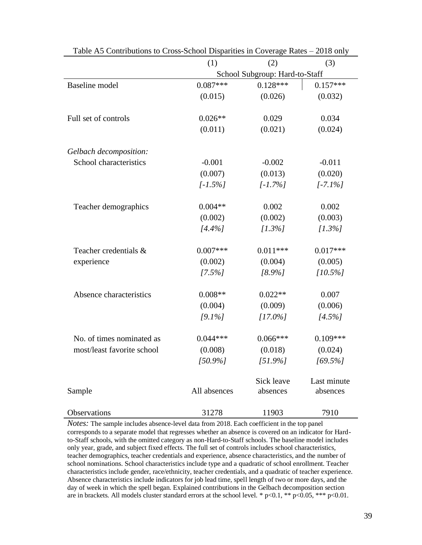| Table Ab Contributions to Cross-School Disparties in Coverage Kates – 2018 only |              |                                |                         |  |
|---------------------------------------------------------------------------------|--------------|--------------------------------|-------------------------|--|
|                                                                                 | (1)          | (2)                            | (3)                     |  |
|                                                                                 |              | School Subgroup: Hard-to-Staff |                         |  |
| <b>Baseline</b> model                                                           | $0.087***$   | $0.128***$                     | $0.157***$              |  |
|                                                                                 | (0.015)      | (0.026)                        | (0.032)                 |  |
| Full set of controls                                                            | $0.026**$    | 0.029                          | 0.034                   |  |
|                                                                                 | (0.011)      | (0.021)                        | (0.024)                 |  |
| Gelbach decomposition:                                                          |              |                                |                         |  |
| School characteristics                                                          | $-0.001$     | $-0.002$                       | $-0.011$                |  |
|                                                                                 | (0.007)      | (0.013)                        | (0.020)                 |  |
|                                                                                 | $[-1.5\%]$   | $[-1.7\%]$                     | $[-7.1\%]$              |  |
| Teacher demographics                                                            | $0.004**$    | 0.002                          | 0.002                   |  |
|                                                                                 | (0.002)      | (0.002)                        | (0.003)                 |  |
|                                                                                 | $[4.4\%]$    | $[1.3\%]$                      | $[1.3\%]$               |  |
| Teacher credentials &                                                           | $0.007***$   | $0.011***$                     | $0.017***$              |  |
| experience                                                                      | (0.002)      | (0.004)                        | (0.005)                 |  |
|                                                                                 | $[7.5\%]$    | $[8.9\%]$                      | $[10.5\%]$              |  |
| Absence characteristics                                                         | $0.008**$    | $0.022**$                      | 0.007                   |  |
|                                                                                 | (0.004)      | (0.009)                        | (0.006)                 |  |
|                                                                                 | $[9.1\%]$    | $[17.0\%]$                     | $[4.5\%]$               |  |
| No. of times nominated as                                                       | $0.044***$   | $0.066***$                     | $0.109***$              |  |
| most/least favorite school                                                      | (0.008)      | (0.018)                        | (0.024)                 |  |
|                                                                                 | $[50.9\%]$   | $[51.9\%]$                     | $[69.5\%]$              |  |
| Sample                                                                          | All absences | Sick leave<br>absences         | Last minute<br>absences |  |
| Observations                                                                    | 31278        | 11903                          | 7910                    |  |

Table A5 Contributions to Cross-School Disparities in Coverage Rates – 2018 only

*Notes:* The sample includes absence-level data from 2018. Each coefficient in the top panel corresponds to a separate model that regresses whether an absence is covered on an indicator for Hardto-Staff schools, with the omitted category as non-Hard-to-Staff schools. The baseline model includes only year, grade, and subject fixed effects. The full set of controls includes school characteristics, teacher demographics, teacher credentials and experience, absence characteristics, and the number of school nominations. School characteristics include type and a quadratic of school enrollment. Teacher characteristics include gender, race/ethnicity, teacher credentials, and a quadratic of teacher experience. Absence characteristics include indicators for job lead time, spell length of two or more days, and the day of week in which the spell began. Explained contributions in the Gelbach decomposition section are in brackets. All models cluster standard errors at the school level. \*  $p<0.1$ , \*\*  $p<0.05$ , \*\*\*  $p<0.01$ .